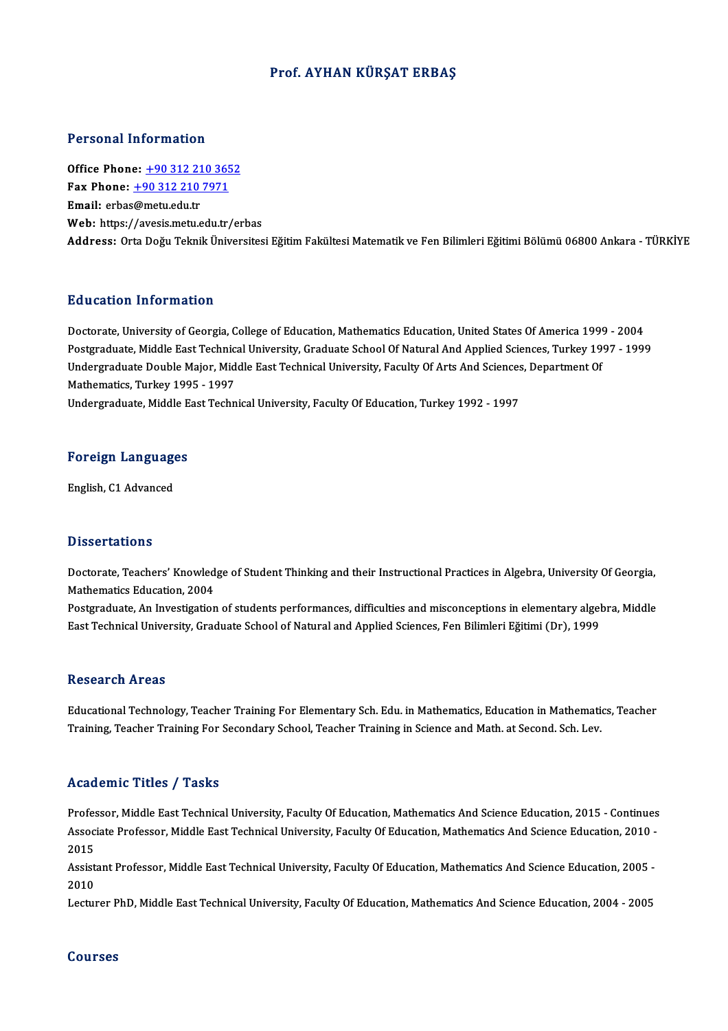### Prof. AYHAN KÜRŞAT ERBAŞ

#### Personal Information

Office Phone: +90 312 210 3652 1 0100111 11101 1111011<br>
0ffice Phone: <u>+90 312 210 365</u><br>
Fax Phone: <u>+90 312 210 7971</u><br>
Email: erbas@matu.edu.tr Office Phone: <u>+90 312 21</u><br>Fax Phone: <u>+90 312 210</u><br>Email: erba[s@metu.edu.tr](tel:+90 312 210 7971)<br>Web: https://avesis.metu.e Email: erbas@metu.edu.tr<br>Web: https://avesis.metu.edu.tr/erbas Address: Orta Doğu Teknik Üniversitesi Eğitim Fakültesi Matematik ve Fen Bilimleri Eğitimi Bölümü 06800 Ankara - TÜRKİYE

### Education Information

Education Information<br>Doctorate, University of Georgia, College of Education, Mathematics Education, United States Of America 1999 - 2004<br>Postsraduate Middle Fast Technical University Craduate School Of Natural And Annlied Pu d'eutren Innermation<br>Doctorate, University of Georgia, College of Education, Mathematics Education, United States Of America 1999 - 2004<br>Postgraduate, Middle East Technical University, Graduate School Of Natural And App Doctorate, University of Georgia, College of Education, Mathematics Education, United States Of America 1999<br>Postgraduate, Middle East Technical University, Graduate School Of Natural And Applied Sciences, Turkey 19<br>Underg Postgraduate, Middle East Technic<br>Undergraduate Double Major, Mid<br>Mathematics, Turkey 1995 - 1997<br>Undergraduate, Middle Fast Techn Undergraduate Double Major, Middle East Technical University, Faculty Of Arts And Sciences, Department Of<br>Mathematics, Turkey 1995 - 1997<br>Undergraduate, Middle East Technical University, Faculty Of Education, Turkey 1992 -

# <sub>ondergraduate, middle E<br>Foreign Languages</sub> <mark>Foreign Languag</mark><br>English, C1 Advanced

English, C1 Advanced<br>Dissertations

Dissertations<br>Doctorate, Teachers' Knowledge of Student Thinking and their Instructional Practices in Algebra, University Of Georgia,<br>Mathematics Education, 2004 Mathematics<br>Doctorate, Teachers' Knowled<br>Mathematics Education, 2004<br>Restaugation, An Investigation Doctorate, Teachers' Knowledge of Student Thinking and their Instructional Practices in Algebra, University Of Georgia,<br>Mathematics Education, 2004<br>Postgraduate, An Investigation of students performances, difficulties and

Mathematics Education, 2004<br>Postgraduate, An Investigation of students performances, difficulties and misconceptions in elementary algel<br>East Technical University, Graduate School of Natural and Applied Sciences, Fen Bilim East Technical University, Graduate School of Natural and Applied Sciences, Fen Bilimleri Eğitimi (Dr), 1999<br>Research Areas

Educational Technology, Teacher Training For Elementary Sch. Edu. in Mathematics, Education in Mathematics, Teacher Training, Teacher Training For Secondary School, Teacher Training in Science and Math. at Second. Sch. Lev.

#### Academic Titles / Tasks

Academic Titles / Tasks<br>Professor, Middle East Technical University, Faculty Of Education, Mathematics And Science Education, 2015 - Continues<br>Associate Professor, Middle Fost Technical University, Faculty Of Education, Ma AssociateMProfessor, Americal University, Faculty Of Education, Mathematics And Science Education, 2015 - Continues<br>Associate Professor, Middle East Technical University, Faculty Of Education, Mathematics And Science Educa Profes<br>Assoc<br>2015<br>Assist Associate Professor, Middle East Technical University, Faculty Of Education, Mathematics And Science Education, 2010 -<br>2015<br>Assistant Professor, Middle East Technical University, Faculty Of Education, Mathematics And Scien

2015<br>Assist<br>2010<br>Lectur Assistant Professor, Middle East Technical University, Faculty Of Education, Mathematics And Science Education, 2005 -<br>2010<br>Lecturer PhD, Middle East Technical University, Faculty Of Education, Mathematics And Science Educ

Lecturer PhD, Middle East Technical University, Faculty Of Education, Mathematics And Science Education, 2004 - 2005<br>Courses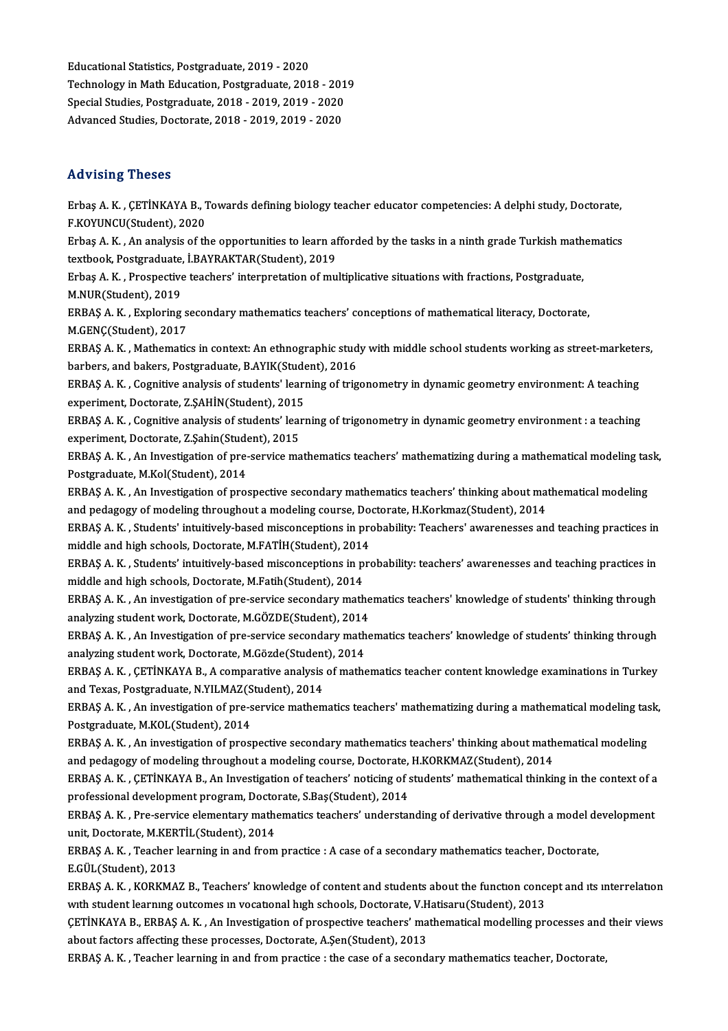EducationalStatistics,Postgraduate,2019 -2020 Educational Statistics, Postgraduate, 2019 - 2020<br>Technology in Math Education, Postgraduate, 2018 - 2019<br>Special Studies, Postgraduate, 2018 - 2019, 2019, 2020 Educational Statistics, Postgraduate, 2019 - 2020<br>Technology in Math Education, Postgraduate, 2018 - 201<br>Special Studies, Postgraduate, 2018 - 2019, 2019 - 2020<br>Advanced Studies, Postgrata, 2019, 2019, 2019, 2020 Special Studies, Postgraduate, 2018 - 2019, 2019 - 2020<br>Advanced Studies, Doctorate, 2018 - 2019, 2019 - 2020

### Advising Theses

Advising Theses<br>Erbaş A. K. , ÇETİNKAYA B., Towards defining biology teacher educator competencies: A delphi study, Doctorate,<br>E KOVUNCU(Student), 2020 F.KOY.DING 716565<br>Erbaş A. K. , ÇETİNKAYA B., 1<br>F.KOYUNCU(Student), 2020<br>Erbas A. K. , An analysis of th Erbaş A. K. , ÇETİNKAYA B., Towards defining biology teacher educator competencies: A delphi study, Doctorate,<br>F.KOYUNCU(Student), 2020<br>Erbaş A. K. , An analysis of the opportunities to learn afforded by the tasks in a nin

F.KOYUNCU(Student), 2020<br>Erbaş A. K. , An analysis of the opportunities to learn af<br>textbook, Postgraduate, İ.BAYRAKTAR(Student), 2019<br>Erbas A. K. , Prespective teachers' interpretation of mu Erbaş A. K. , An analysis of the opportunities to learn afforded by the tasks in a ninth grade Turkish mathematics<br>textbook, Postgraduate, İ.BAYRAKTAR(Student), 2019<br>Erbaş A. K. , Prospective teachers' interpretation of mu

textbook, Postgraduate,<br>Erbaş A. K. , Prospective<br>M.NUR(Student), 2019<br>EPRAS A. K., Evrlering Erbaş A. K. , Prospective teachers' interpretation of multiplicative situations with fractions, Postgraduate,<br>M.NUR(Student), 2019<br>ERBAŞ A. K. , Exploring secondary mathematics teachers' conceptions of mathematical literac

M.NUR(Student), 2019<br>ERBAŞ A. K. , Exploring s<br>M.GENÇ(Student), 2017<br>ERBAS A. K. Mathematic ERBAŞ A. K. , Exploring secondary mathematics teachers' conceptions of mathematical literacy, Doctorate,<br>M.GENÇ(Student), 2017<br>ERBAŞ A. K. , Mathematics in context: An ethnographic study with middle school students working

M.GENÇ(Student), 2017<br>ERBAŞ A. K. , Mathematics in context: An ethnographic stud<br>barbers, and bakers, Postgraduate, B.AYIK(Student), 2016<br>ERBAS A. K., Gomitive analysis of students' learning of trig ERBAŞ A. K. , Mathematics in context: An ethnographic study with middle school students working as street-marketer<br>barbers, and bakers, Postgraduate, B.AYIK(Student), 2016<br>ERBAŞ A. K. , Cognitive analysis of students' lear

barbers, and bakers, Postgraduate, B.AYIK(Student), 2016<br>ERBAŞ A. K. , Cognitive analysis of students' learning of trigonometry in dynamic geometry environment: A teaching<br>experiment, Doctorate, Z.ŞAHİN(Student), 2015 ERBAŞ A. K. , Cognitive analysis of students' learning of trigonometry in dynamic geometry environment: A teaching<br>experiment, Doctorate, Z.ŞAHİN(Student), 2015<br>ERBAŞ A. K. , Cognitive analysis of students' learning of tri

experiment, Doctorate, Z.ŞAHİN(Student), 2015<br>ERBAŞ A. K. , Cognitive analysis of students' lear<br>experiment, Doctorate, Z.Şahin(Student), 2015<br>ERRAS A. K. An Investigation of nua servise ma ERBAŞ A. K. , Cognitive analysis of students' learning of trigonometry in dynamic geometry environment : a teaching<br>experiment, Doctorate, Z.Şahin(Student), 2015<br>ERBAŞ A. K. , An Investigation of pre-service mathematics te

experiment, Doctorate, Z.Şahin(Student), 2015<br>ERBAŞ A. K. , An Investigation of pre-service mathematics teachers' mathematizing during a mathematical modeling task,<br>Postgraduate, M.Kol(Student), 2014 ERBAŞ A. K. , An Investigation of pre-service mathematics teachers' mathematizing during a mathematical modeling tas<br>Postgraduate, M.Kol(Student), 2014<br>ERBAŞ A. K. , An Investigation of prospective secondary mathematics te

Postgraduate, M.Kol(Student), 2014<br>ERBAŞ A. K. , An Investigation of prospective secondary mathematics teachers' thinking about ma<br>and pedagogy of modeling throughout a modeling course, Doctorate, H.Korkmaz(Student), 2014<br> ERBAŞ A. K. , An Investigation of prospective secondary mathematics teachers' thinking about mathematical modeling<br>and pedagogy of modeling throughout a modeling course, Doctorate, H.Korkmaz(Student), 2014<br>ERBAŞ A. K. , St

and pedagogy of modeling throughout a modeling course, Doctorate, H.Korkmaz(Student), 2014<br>ERBAŞ A. K. , Students' intuitively-based misconceptions in probability: Teachers' awarenesses ar<br>middle and high schools, Doctorat ERBAŞ A. K. , Students' intuitively-based misconceptions in probability: Teachers' awarenesses and teaching practices in<br>middle and high schools, Doctorate, M.FATİH(Student), 2014<br>ERBAŞ A. K. , Students' intuitively-based

middle and high schools, Doctorate, M.FATİH(Student), 2014<br>ERBAŞ A. K. , Students' intuitively-based misconceptions in p<br>middle and high schools, Doctorate, M.Fatih(Student), 2014<br>ERBAS A. K. , An investigation of the serv ERBAŞ A.K., Students' intuitively-based misconceptions in probability: teachers' awarenesses and teaching practices in

middle and high schools, Doctorate, M.Fatih(Student), 2014<br>ERBAŞ A. K. , An investigation of pre-service secondary mathe<br>analyzing student work, Doctorate, M.GÖZDE(Student), 2014<br>ERBAS A. K. . An Investigation of nre-servi ERBAŞ A. K. , An investigation of pre-service secondary mathematics teachers' knowledge of students' thinking through analyzing student work, Doctorate, M.GÖZDE(Student), 2014<br>ERBAŞ A. K. , An Investigation of pre-service analyzing student work, Doctorate, M.GÖZDE(Student), 2014

ERBAŞ A. K. , An Investigation of pre-service secondary mathematics teachers' knowledge of students' thinking through<br>analyzing student work, Doctorate, M.Gözde(Student), 2014<br>ERBAŞ A. K. , ÇETİNKAYA B., A comparative anal

analyzing student work, Doctorate, M.Gözde(Student<br>ERBAŞ A. K. , ÇETİNKAYA B., A comparative analysis<br>and Texas, Postgraduate, N.YILMAZ(Student), 2014<br>EPRAS A. K., An investigation of nre servise mathem and Texas, Postgraduate, N.YILMAZ(Student), 2014

ERBAŞ A. K. , An investigation of pre-service mathematics teachers' mathematizing during a mathematical modeling task,<br>Postgraduate, M.KOL(Student), 2014 ERBAŞ A. K. , An investigation of pre-service mathematics teachers' mathematizing during a mathematical modeling tas<br>Postgraduate, M.KOL(Student), 2014<br>ERBAŞ A. K. , An investigation of prospective secondary mathematics te

Postgraduate, M.KOL(Student), 2014<br>ERBAŞ A. K. , An investigation of prospective secondary mathematics teachers' thinking about math<br>and pedagogy of modeling throughout a modeling course, Doctorate, H.KORKMAZ(Student), 201 ERBAŞ A. K. , An investigation of prospective secondary mathematics teachers' thinking about mathematical modeling<br>and pedagogy of modeling throughout a modeling course, Doctorate, H.KORKMAZ(Student), 2014<br>ERBAŞ A. K. , ÇE

and pedagogy of modeling throughout a modeling course, Doctorate,<br>ERBAŞ A. K. , ÇETİNKAYA B., An Investigation of teachers' noticing of s<br>professional development program, Doctorate, S.Baş(Student), 2014<br>ERBAS A. K., Pro s ERBAŞ A. K. , ÇETİNKAYA B., An Investigation of teachers' noticing of students' mathematical thinking in the context of a<br>professional development program, Doctorate, S.Baş(Student), 2014<br>ERBAŞ A. K. , Pre-service elementa

professional development program, Doctorate, S.Baş(Student), 2014<br>ERBAŞ A. K. , Pre-service elementary mathematics teachers' understanding of derivative through a model development<br>unit, Doctorate, M.KERTİL(Student), 2014 ERBAŞ A. K. , Pre-service elementary mathematics teachers' understanding of derivative through a model de<br>unit, Doctorate, M.KERTİL(Student), 2014<br>ERBAŞ A. K. , Teacher learning in and from practice : A case of a secondary

unit, Doctorate, M.KER<br>ERBAŞ A. K. , Teacher 1<br>E.GÜL(Student), 2013<br>ERBAS A. K. , KORKMA ERBAŞ A. K. , Teacher learning in and from practice : A case of a secondary mathematics teacher, Doctorate,<br>E.GÜL(Student), 2013<br>ERBAŞ A. K. , KORKMAZ B., Teachers' knowledge of content and students about the function conc

E.GÜL(Student), 2013<br>ERBAŞ A. K. , KORKMAZ B., Teachers' knowledge of content and students about the function conce<br>with student learning outcomes in vocational high schools, Doctorate, V.Hatisaru(Student), 2013<br>CETİNKAYA ERBAŞ A. K. , KORKMAZ B., Teachers' knowledge of content and students about the function concept and its interrelation<br>with student learning outcomes in vocational high schools, Doctorate, V.Hatisaru(Student), 2013<br>CETİNKA

with student learning outcomes in vocational high schools, Doctorate, V.Hatisaru(Student), 2013<br>GETİNKAYA B., ERBAŞ A. K. , An Investigation of prospective teachers' mathematical modelling processes and<br>about factors affec CETINKAYA B., ERBAŞ A.K., An Investigation of prospective teachers' mathematical modelling processes and their views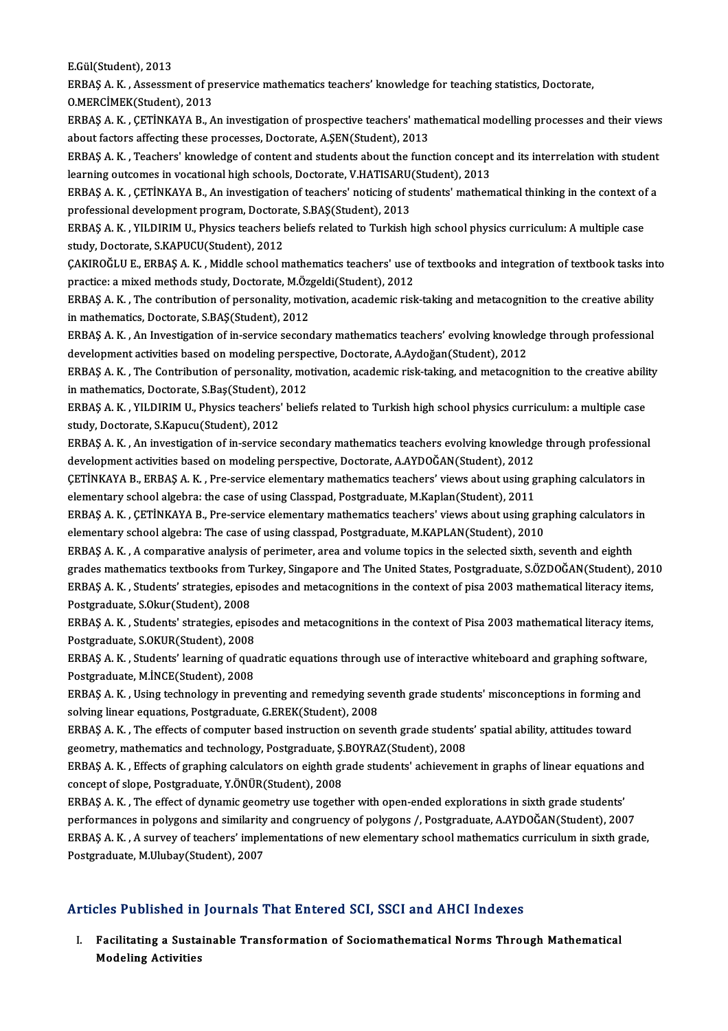E.Gül(Student),2013

E.Gül(Student), 2013<br>ERBAŞ A. K. , Assessment of preservice mathematics teachers' knowledge for teaching statistics, Doctorate,<br>O.MERCİMEK(Student), 2013 E.Gül(Student), 2013<br>ERBAŞ A. K. , Assessment of pr<br>O.MERCİMEK(Student), 2013<br>ERBAS A. K., CETİNKAYA B. A ERBAŞ A. K. , Assessment of preservice mathematics teachers' knowledge for teaching statistics, Doctorate,<br>O.MERCİMEK(Student), 2013<br>ERBAŞ A. K. , ÇETİNKAYA B., An investigation of prospective teachers' mathematical modell

0.MERCİMEK(Student), 2013<br>ERBAŞ A. K. , ÇETİNKAYA B., An investigation of prospective teachers' mat<br>about factors affecting these processes, Doctorate, A.ŞEN(Student), 2013<br>ERRAS A. K., Teachers' imovidedge af content and ERBAŞ A. K. , ÇETİNKAYA B., An investigation of prospective teachers' mathematical modelling processes and their views<br>about factors affecting these processes, Doctorate, A.ŞEN(Student), 2013<br>ERBAŞ A. K. , Teachers' knowle

about factors affecting these processes, Doctorate, A.ŞEN(Student), 2013<br>ERBAŞ A. K. , Teachers' knowledge of content and students about the function concept<br>learning outcomes in vocational high schools, Doctorate, V.HATIS ERBAŞ A. K. , Teachers' knowledge of content and students about the function concept and its interrelation with student<br>learning outcomes in vocational high schools, Doctorate, V.HATISARU(Student), 2013<br>ERBAŞ A. K. , ÇETİN

learning outcomes in vocational high schools, Doctorate, V.HATISARU(Student), 2013<br>ERBAŞ A. K. , ÇETİNKAYA B., An investigation of teachers' noticing of students' mathematical thinking in the context of a<br>professional deve ERBAŞ A. K. , ÇETİNKAYA B., An investigation of teachers' noticing of students' mathematical thinking in the context of<br>professional development program, Doctorate, S.BAŞ(Student), 2013<br>ERBAŞ A. K. , YILDIRIM U., Physics t

professional development program, Doctora<br>ERBAŞ A. K. , YILDIRIM U., Physics teachers ł<br>study, Doctorate, S.KAPUCU(Student), 2012<br>CAKIROČLU E. ERRAS A. K., Middle school n ERBAŞ A. K. , YILDIRIM U., Physics teachers beliefs related to Turkish high school physics curriculum: A multiple case<br>study, Doctorate, S.KAPUCU(Student), 2012<br>ÇAKIROĞLU E., ERBAŞ A. K. , Middle school mathematics teacher

study, Doctorate, S.KAPUCU(Student), 2012<br>ÇAKIROĞLU E., ERBAŞ A. K. , Middle school mathematics teachers' use of textbooks and integration of textbook tasks into<br>practice: a mixed methods study, Doctorate, M.Özgeldi(Studen CAKIROĞLU E., ERBAŞ A. K. , Middle school mathematics teachers' use of textbooks and integration of textbook tasks int<br>practice: a mixed methods study, Doctorate, M.Özgeldi(Student), 2012<br>ERBAŞ A. K. , The contribution of

practice: a mixed methods study, Doctorate, M.Öz<br>ERBAŞ A. K. , The contribution of personality, mot<br>in mathematics, Doctorate, S.BAŞ(Student), 2012<br>ERBAS A. K. , An Investigation of in service sesanc ERBAŞ A. K. , The contribution of personality, motivation, academic risk-taking and metacognition to the creative ability<br>in mathematics, Doctorate, S.BAŞ(Student), 2012<br>ERBAŞ A. K. , An Investigation of in-service seconda

in mathematics, Doctorate, S.BAŞ(Student), 2012<br>ERBAŞ A. K. , An Investigation of in-service secondary mathematics teachers' evolving knowled<br>development activities based on modeling perspective, Doctorate, A.Aydoğan(Stude ERBAŞ A. K. , An Investigation of in-service secondary mathematics teachers' evolving knowledge through professional<br>development activities based on modeling perspective, Doctorate, A.Aydoğan(Student), 2012<br>ERBAŞ A. K. , T

development activities based on modeling perspective, Doctorate, A.Aydoğan(Student), 2012<br>ERBAŞ A. K. , The Contribution of personality, motivation, academic risk-taking, and metacognition to the creative ability<br>in mathem ERBAŞ A. K. , The Contribution of personality, motivation, academic risk-taking, and metacognition to the creative abili<br>in mathematics, Doctorate, S.Baş(Student), 2012<br>ERBAŞ A. K. , YILDIRIM U., Physics teachers' beliefs

in mathematics, Doctorate, S.Baş(Student), <br>ERBAŞ A. K. , YILDIRIM U., Physics teachers'<br>study, Doctorate, S.Kapucu(Student), 2012<br>ERBAS A. K., An investigation of in service ( ERBAŞ A. K. , YILDIRIM U., Physics teachers' beliefs related to Turkish high school physics curriculum: a multiple case<br>study, Doctorate, S.Kapucu(Student), 2012<br>ERBAŞ A. K. , An investigation of in-service secondary mathe

study, Doctorate, S.Kapucu(Student), 2012<br>ERBAŞ A. K. , An investigation of in-service secondary mathematics teachers evolving knowledg<br>development activities based on modeling perspective, Doctorate, A.AYDOĞAN(Student), 2 ERBAŞ A. K. , An investigation of in-service secondary mathematics teachers evolving knowledge through professional<br>development activities based on modeling perspective, Doctorate, A.AYDOĞAN(Student), 2012<br>ÇETİNKAYA B., ER

development activities based on modeling perspective, Doctorate, A.AYDOĞAN(Student), 2012<br>ÇETİNKAYA B., ERBAŞ A. K. , Pre-service elementary mathematics teachers' views about using g<br>elementary school algebra: the case of CETİNKAYA B., ERBAŞ A. K. , Pre-service elementary mathematics teachers' views about using graphing calculators in<br>elementary school algebra: the case of using Classpad, Postgraduate, M.Kaplan(Student), 2011<br>ERBAŞ A. K. ,

elementary school algebra: the case of using Classpad, Postgraduate, M.Kaplan(Student), 2011<br>ERBAŞ A. K. , ÇETİNKAYA B., Pre-service elementary mathematics teachers' views about using gra<br>elementary school algebra: The cas ERBAŞ A. K. , ÇETİNKAYA B., Pre-service elementary mathematics teachers' views about using graphing calculators<br>elementary school algebra: The case of using classpad, Postgraduate, M.KAPLAN(Student), 2010<br>ERBAŞ A. K. , A c

elementary school algebra: The case of using classpad, Postgraduate, M.KAPLAN(Student), 2010<br>ERBAŞ A. K. , A comparative analysis of perimeter, area and volume topics in the selected sixth, seventh and eighth<br>grades mathem ERBAŞ A. K. , A comparative analysis of perimeter, area and volume topics in the selected sixth, seventh and eighth<br>grades mathematics textbooks from Turkey, Singapore and The United States, Postgraduate, S.ÖZDOĞAN(Student grades mathematics textbooks from T<br>ERBAŞ A. K. , Students' strategies, epis<br>Postgraduate, S.Okur(Student), 2008<br>ERBAS A. K., Students' strategies, epis ERBAŞ A. K. , Students' strategies, episodes and metacognitions in the context of pisa 2003 mathematical literacy items,<br>Postgraduate, S.Okur(Student), 2008<br>ERBAŞ A. K. , Students' strategies, episodes and metacognitions i

Postgraduate, S.Okur(Student), 2008<br>ERBAŞ A. K. , Students' strategies, episo<br>Postgraduate, S.OKUR(Student), 2008<br>ERBAS A. K., Students' kerning of sus ERBAŞ A. K. , Students' strategies, episodes and metacognitions in the context of Pisa 2003 mathematical literacy items<br>Postgraduate, S.OKUR(Student), 2008<br>ERBAŞ A. K. , Students' learning of quadratic equations through us

Postgraduate, S.OKUR(Student), 2008<br>ERBAŞ A. K. , Students' learning of quadratic equations through use of interactive whiteboard and graphing software,<br>Postgraduate, M.İNCE(Student), 2008 ERBAŞ A. K. , Students' learning of quadratic equations through use of interactive whiteboard and graphing software<br>Postgraduate, M.İNCE(Student), 2008<br>ERBAŞ A. K. , Using technology in preventing and remedying seventh gra

Postgraduate, M.İNCE(Student), 2008<br>ERBAŞ A. K. , Using technology in preventing and remedying sev<br>solving linear equations, Postgraduate, G.EREK(Student), 2008<br>ERBAS A. K., The effects of computer based instruction on sev ERBAŞ A. K. , Using technology in preventing and remedying seventh grade students' misconceptions in forming an<br>solving linear equations, Postgraduate, G.EREK(Student), 2008<br>ERBAŞ A. K. , The effects of computer based inst

solving linear equations, Postgraduate, G.EREK(Student), 2008<br>ERBAŞ A. K. , The effects of computer based instruction on seventh grade student<br>geometry, mathematics and technology, Postgraduate, Ş.BOYRAZ(Student), 2008<br>EPR ERBAŞ A. K. , The effects of computer based instruction on seventh grade students' spatial ability, attitudes toward<br>geometry, mathematics and technology, Postgraduate, Ş.BOYRAZ(Student), 2008<br>ERBAŞ A. K. , Effects of grap

geometry, mathematics and technology, Postgraduate, Ş.BOYRAZ(Student), 2008<br>ERBAŞ A. K. , Effects of graphing calculators on eighth grade students' achievement in graphs of linear equations and<br>concept of slope, Postgradua ERBAŞ A. K. , Effects of graphing calculators on eighth grade students' achievement in graphs of linear equations<br>concept of slope, Postgraduate, Y.ÖNÜR(Student), 2008<br>ERBAŞ A. K. , The effect of dynamic geometry use toget

concept of slope, Postgraduate, Y.ÖNÜR(Student), 2008<br>ERBAŞ A. K. , The effect of dynamic geometry use together with open-ended explorations in sixth grade students<br>performances in polygons and similarity and congruency of ERBAŞ A. K. , The effect of dynamic geometry use together with open-ended explorations in sixth grade students'<br>performances in polygons and similarity and congruency of polygons /, Postgraduate, A.AYDOĞAN(Student), 2007<br>E performances in polygons and similarity and congruency of polygons /, Postgraduate, A.AYDOĞAN(Student), 2007<br>ERBAŞ A. K. , A survey of teachers' implementations of new elementary school mathematics curriculum in sixth grad

### Articles Published in Journals That Entered SCI, SSCI and AHCI Indexes

rticles Published in Journals That Entered SCI, SSCI and AHCI Indexes<br>I. Facilitating a Sustainable Transformation of Sociomathematical Norms Through Mathematical<br>Medeling Activities Modeling a Susta<br>Facilitating a Susta<br>Modeling Activities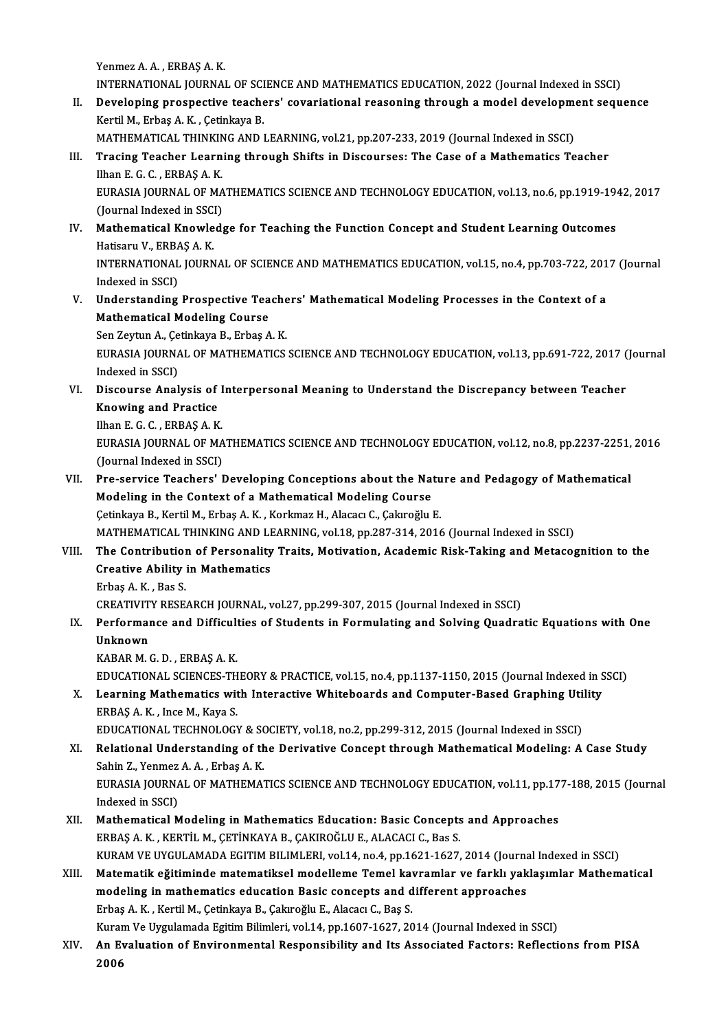Yenmez A.A., ERBAŞ A.K.

Yenmez A. A. , ERBAȘ A. K.<br>INTERNATIONAL JOURNAL OF SCIENCE AND MATHEMATICS EDUCATION, 2022 (Journal Indexed in SSCI)<br>Povelaning prespective teachers' severiational ressoning through a model development segu

II. Developing prospective teachers' covariational reasoning through a model development sequence<br>Kertil M., Erbaş A. K., Çetinkaya B. INTERNATIONAL JOURNAL OF SCI<br>Developing prospective teache<br>Kertil M., Erbaş A. K. , Çetinkaya B.<br>MATUEMATICAL TUINKINC AND I

MATHEMATICAL THINKINGANDLEARNING,vol.21,pp.207-233,2019 (Journal Indexed inSSCI)

## III. Tracing Teacher Learning through Shifts in Discourses: The Case of a Mathematics Teacher MATHEMATICAL THINKIN<br>Tracing Teacher Learn<br>Ilhan E. G. C. , ERBAŞ A. K.<br>FURASIA JOURNAL OF MA

EURASIA JOURNAL OF MATHEMATICS SCIENCE AND TECHNOLOGY EDUCATION, vol.13, no.6, pp.1919-1942, 2017<br>(Journal Indexed in SSCI) Ilhan E. G. C. , ERBAŞ A. K.<br>EURASIA JOURNAL OF MA<br>(Journal Indexed in SSCI)<br>Mathematical Knowlade EURASIA JOURNAL OF MATHEMATICS SCIENCE AND TECHNOLOGY EDUCATION, vol.13, no.6, pp.1919-19<br>(Journal Indexed in SSCI)<br>IV. Mathematical Knowledge for Teaching the Function Concept and Student Learning Outcomes<br>Hatigary V. EBB

## (Journal Indexed in SSC)<br>Mathematical Knowle<br>Hatisaru V., ERBAŞ A. K.<br>INTERNATIONAL JOURN Hatisaru V., ERBAŞ A.K.

INTERNATIONAL JOURNAL OF SCIENCE AND MATHEMATICS EDUCATION, vol.15, no.4, pp.703-722, 2017 (Journal Indexed in SSCI) INTERNATIONAL JOURNAL OF SCIENCE AND MATHEMATICS EDUCATION, vol.15, no.4, pp.703-722, 201<br>Indexed in SSCI)<br>V. Understanding Prospective Teachers' Mathematical Modeling Processes in the Context of a<br>Mathematical Modeling Co

Indexed in SSCI)<br>Understanding Prospective Tea<br>Mathematical Modeling Course<br>Sen Zeytun A, Cetinkeye B, Erbes A Understanding Prospective Teache<br>Mathematical Modeling Course<br>Sen Zeytun A., Çetinkaya B., Erbaş A. K.<br>EURASIA JOURNAL OE MATHEMATICS

Sen Zeytun A., Çetinkaya B., Erbaş A. K.

Mathematical Modeling Course<br>Sen Zeytun A., Çetinkaya B., Erbaş A. K.<br>EURASIA JOURNAL OF MATHEMATICS SCIENCE AND TECHNOLOGY EDUCATION, vol.13, pp.691-722, 2017 (Journal<br>Indexed in SSCI) EURASIA JOURNAL OF MATHEMATICS SCIENCE AND TECHNOLOGY EDUCATION, vol.13, pp.691-722, 2017 (<br>Indexed in SSCI)<br>VI. Discourse Analysis of Interpersonal Meaning to Understand the Discrepancy between Teacher<br>Knowing and Practic

Indexed in SSCI)<br>Discourse Analysis of<br>Knowing and Practice<br><sup>Then E.C.C.</sup> EPPAS A.*V* **Discourse Analysis of I<br>Knowing and Practice<br>Ilhan E. G. C. , ERBAŞ A. K.<br>EURASIA JOURNAL OF MA** 

Ilhan E. G. C., ERBAS A. K.

Knowing and Practice<br>Ilhan E. G. C. , ERBAŞ A. K.<br>EURASIA JOURNAL OF MATHEMATICS SCIENCE AND TECHNOLOGY EDUCATION, vol.12, no.8, pp.2237-2251, 2016<br>(Journal Indexed in SSCI) EURASIA JOURNAL OF MATHEMATICS SCIENCE AND TECHNOLOGY EDUCATION, vol.12, no.8, pp.2237-2251,<br>(Journal Indexed in SSCI)<br>VII. Pre-service Teachers' Developing Conceptions about the Nature and Pedagogy of Mathematical<br>Modelin

(Journal Indexed in SSCI)<br>Pre-service Teachers' Developing Conceptions about the Nat<br>Modeling in the Context of a Mathematical Modeling Course<br>Cetinkaya B. Kortil M. Erbas A. K., Korkmaz H. Alasas: C. Calareğlu Pre-service Teachers' Developing Conceptions about the Natu<br>Modeling in the Context of a Mathematical Modeling Course<br>Çetinkaya B., Kertil M., Erbaş A. K. , Korkmaz H., Alacacı C., Çakıroğlu E.<br>MATUEMATICAL TUINKING AND LE Modeling in the Context of a Mathematical Modeling Course<br>Çetinkaya B., Kertil M., Erbaş A. K. , Korkmaz H., Alacacı C., Çakıroğlu E.<br>MATHEMATICAL THINKING AND LEARNING, vol.18, pp.287-314, 2016 (Journal Indexed in SSCI)

## Cetinkaya B., Kertil M., Erbaş A. K. , Korkmaz H., Alacacı C., Çakıroğlu E.<br>MATHEMATICAL THINKING AND LEARNING, vol.18, pp.287-314, 2016 (Journal Indexed in SSCI)<br>VIII. The Contribution of Personality Traits, Motivatio MATHEMATICAL THINKING AND LI<br>The Contribution of Personality<br>Creative Ability in Mathematics<br>Frhas A K – Bas S Creative Ability in Mathematics<br>Erbaş A.K., Bas S.

CREATIVITY RESEARCH JOURNAL, vol.27, pp.299-307, 2015 (Journal Indexed in SSCI)

## Erbaş A. K. , Bas S.<br>CREATIVITY RESEARCH JOURNAL, vol.27, pp.299-307, 2015 (Journal Indexed in SSCI)<br>IX. Performance and Difficulties of Students in Formulating and Solving Quadratic Equations with One<br>IInknown CREATIVIT<br>Performal<br>Unknown<br>KARAR M Performance and Difficult<br>Unknown<br>KABAR M. G. D. , ERBAŞ A. K.<br>EDUCATIONAL SCIENCES TH Unknown<br>KABAR M. G. D. , ERBAŞ A. K.<br>EDUCATIONAL SCIENCES-THEORY & PRACTICE, vol.15, no.4, pp.1137-1150, 2015 (Journal Indexed in SSCI)<br>Learning Mathematics with Interactive Whiteheards and Computer Based Craphing Utility

## KABAR M. G. D. , ERBAŞ A. K.<br>EDUCATIONAL SCIENCES-THEORY & PRACTICE, vol.15, no.4, pp.1137-1150, 2015 (Journal Indexed in S.<br>X. Learning Mathematics with Interactive Whiteboards and Computer-Based Graphing Utility<br>ERBAŞ A. EDUCATIONAL SCIENCES-TH<br>Learning Mathematics with<br>ERBAŞ A. K. , Ince M., Kaya S.<br>EDUCATIONAL TECHNOLOCY Learning Mathematics with Interactive Whiteboards and Computer-Based Graphing Uti<br>ERBAŞ A. K. , Ince M., Kaya S.<br>EDUCATIONAL TECHNOLOGY & SOCIETY, vol.18, no.2, pp.299-312, 2015 (Journal Indexed in SSCI)<br>Pelational Underst

XI. Relational Understanding of the Derivative Concept through Mathematical Modeling: A Case Study<br>Sahin Z., Yenmez A. A., Erbas A. K. EDUCATIONAL TECHNOLOGY & SO<br>Relational Understanding of the<br>Sahin Z., Yenmez A.A., Erbaş A.K.<br>EURASIA JOURNAL OF MATUEMA Relational Understanding of the Derivative Concept through Mathematical Modeling: A Case Study<br>Sahin Z., Yenmez A. A. , Erbaş A. K.<br>EURASIA JOURNAL OF MATHEMATICS SCIENCE AND TECHNOLOGY EDUCATION, vol.11, pp.177-188, 2015

Sahin Z., Yenmez<br>EURASIA JOURNA<br>Indexed in SSCI)<br>Mathematical M EURASIA JOURNAL OF MATHEMATICS SCIENCE AND TECHNOLOGY EDUCATION, vol.11, pp.17<br>Indexed in SSCI)<br>XII. Mathematical Modeling in Mathematics Education: Basic Concepts and Approaches<br>FRRAS A K. KERTU M. CETINKAYA B. CAKIROČLUE

- Indexed in SSCI)<br>XII. Mathematical Modeling in Mathematics Education: Basic Concepts and Approaches<br>ERBAS A. K. , KERTİL M., CETİNKAYA B., CAKIROĞLU E., ALACACI C., Bas S. Mathematical Modeling in Mathematics Education: Basic Concepts and Approaches<br>ERBAŞ A. K. , KERTİL M., ÇETİNKAYA B., ÇAKIROĞLU E., ALACACI C., Bas S.<br>KURAM VE UYGULAMADA EGITIM BILIMLERI, vol.14, no.4, pp.1621-1627, 2014 (
- XIII. Matematik eğitiminde matematiksel modelleme Temel kavramlar ve farklı yaklaşımlar Mathematical KURAM VE UYGULAMADA EGITIM BILIMLERI, vol.14, no.4, pp.1621-1627, 2014 (Journa<br>Matematik eğitiminde matematiksel modelleme Temel kavramlar ve farklı yak<br>modeling in mathematics education Basic concepts and different approa Erbaş A. K. , Kertil M., Çetinkaya B., Çakıroğlu E., Alacacı C., Baş S.<br>Kuram Ve Uygulamada Egitim Bilimleri, vol.14, pp.1607-1627, 2014 (Journal Indexed in SSCI) modeling in mathematics education Basic concepts and different approaches Erbaş A. K. , Kertil M., Çetinkaya B., Çakıroğlu E., Alacacı C., Baş S.<br>Kuram Ve Uygulamada Egitim Bilimleri, vol.14, pp.1607-1627, 2014 (Journal Indexed in SSCI)<br>XIV. An Evaluation of Environmental Responsibility and

Kurar<br><mark>An E</mark>v<br>2006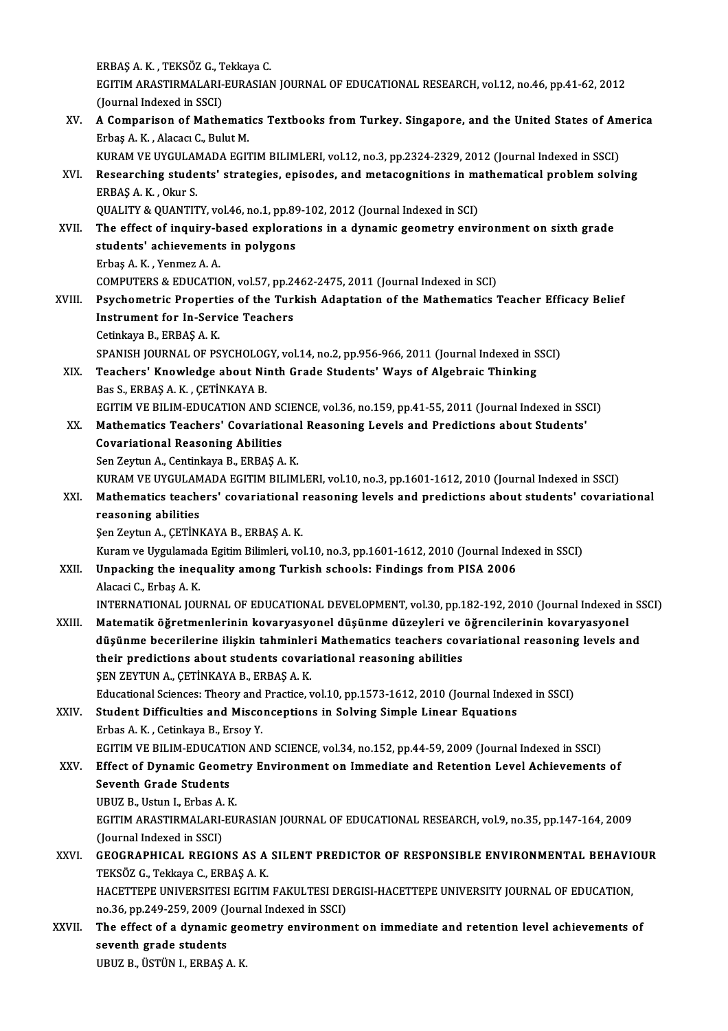ERBAŞA.K. ,TEKSÖZG.,TekkayaC. ERBAŞ A. K. , TEKSÖZ G., Tekkaya C.<br>EGITIM ARASTIRMALARI-EURASIAN JOURNAL OF EDUCATIONAL RESEARCH, vol.12, no.46, pp.41-62, 2012<br>(Jaunnal Indoved in SSCI) ERBAŞ A. K. , TEKSÖZ G., T<br>EGITIM ARASTIRMALARI-<br>(Journal Indexed in SSCI)<br>A Comnanison of Mathe EGITIM ARASTIRMALARI-EURASIAN JOURNAL OF EDUCATIONAL RESEARCH, vol.12, no.46, pp.41-62, 2012<br>(Journal Indexed in SSCI)<br>XV. A Comparison of Mathematics Textbooks from Turkey. Singapore, and the United States of America<br>Frha (Journal Indexed in SSCI)<br>A Comparison of Mathemati<br>Erbaş A. K. , Alacacı C., Bulut M.<br>KURAM VE UVCULAMADA ECU A Comparison of Mathematics Textbooks from Turkey. Singapore, and the United States of Am<br>Erbaş A. K. , Alacacı C., Bulut M.<br>KURAM VE UYGULAMADA EGITIM BILIMLERI, vol.12, no.3, pp.2324-2329, 2012 (Journal Indexed in SSCI)<br> Erbaş A. K. , Alacacı C., Bulut M.<br>KURAM VE UYGULAMADA EGITIM BILIMLERI, vol.12, no.3, pp.2324-2329, 2012 (Journal Indexed in SSCI)<br>XVI. Researching students' strategies, episodes, and metacognitions in mathematical proble KURAM VE UYGULAN<br>Researching stude<br>ERBAŞ A. K. , Okur S.<br>OUALITY & OUANTIT Researching students' strategies, episodes, and metacognitions in manufactured in SCI)<br>ERBAŞ A. K. , Okur S.<br>QUALITY & QUANTITY, vol.46, no.1, pp.89-102, 2012 (Journal Indexed in SCI)<br>The effect of inquiry based exploratio ERBAŞ A. K. , Okur S.<br>QUALITY & QUANTITY, vol.46, no.1, pp.89-102, 2012 (Journal Indexed in SCI)<br>XVII. The effect of inquiry-based explorations in a dynamic geometry environment on sixth grade<br>students' schievements in pol QUALITY & QUANTITY, vol.46, no.1, pp.89<br>The effect of inquiry-based explorat<br>students' achievements in polygons<br>Frhas A K Venmer A A The effect of inquiry-b<br>students' achievement<br>Erbaş A.K. , Yenmez A.A.<br>COMPUTERS & EDUCATIO students' achievements in polygons<br>Erbaş A. K. , Yenmez A. A.<br>COMPUTERS & EDUCATION, vol.57, pp.2462-2475, 2011 (Journal Indexed in SCI) Erbaş A. K. , Yenmez A. A.<br>COMPUTERS & EDUCATION, vol.57, pp.2462-2475, 2011 (Journal Indexed in SCI)<br>XVIII. Psychometric Properties of the Turkish Adaptation of the Mathematics Teacher Efficacy Belief COMPUTERS & EDUCATION, vol.57, pp.24<br>Psychometric Properties of the Turi<br>Instrument for In-Service Teachers **Psychometric Properti<br>Instrument for In-Serv<br>Cetinkaya B., ERBAŞ A. K.<br>SPANISH JOUPNAJ OF PS** Instrument for In-Service Teachers<br>Cetinkaya B., ERBAŞ A. K.<br>SPANISH JOURNAL OF PSYCHOLOGY, vol.14, no.2, pp.956-966, 2011 (Journal Indexed in SSCI) Cetinkaya B., ERBAŞ A. K.<br>SPANISH JOURNAL OF PSYCHOLOGY, vol.14, no.2, pp.956-966, 2011 (Journal Indexed in S<br>XIX. Teachers' Knowledge about Ninth Grade Students' Ways of Algebraic Thinking<br>Ree S. ERRAS A. K. CETINKAVA B SPANISH JOURNAL OF PSYCHOLOG<br>Teachers' Knowledge about Ni<br>Bas S., ERBAŞ A. K. , ÇETİNKAYA B.<br>ECITIM VE BILIM EDUCATION ANI Teachers' Knowledge about Ninth Grade Students' Ways of Algebraic Thinking<br>Bas S., ERBAŞ A. K. , ÇETİNKAYA B.<br>EGITIM VE BILIM-EDUCATION AND SCIENCE, vol.36, no.159, pp.41-55, 2011 (Journal Indexed in SSCI)<br>Mathematics Teac Bas S., ERBAŞ A. K. , ÇETİNKAYA B.<br>EGITIM VE BILIM-EDUCATION AND SCIENCE, vol.36, no.159, pp.41-55, 2011 (Journal Indexed in SSINGR)<br>XX. Mathematics Teachers' Covariational Reasoning Levels and Predictions about Students' EGITIM VE BILIM-EDUCATION AND SO<br>Mathematics Teachers' Covariatio<br>Covariational Reasoning Abilities<br>Son Zaytun A, Continkaya B, EBBAS A Mathematics Teachers' Covariational Reasoning Levels and Predictions about Students'<br>Covariational Reasoning Abilities<br>Sen Zeytun A., Centinkaya B., ERBAŞ A. K. Covariational Reasoning Abilities<br>Sen Zeytun A., Centinkaya B., ERBAŞ A. K.<br>KURAM VE UYGULAMADA EGITIM BILIMLERI, vol.10, no.3, pp.1601-1612, 2010 (Journal Indexed in SSCI)<br>Mathematics teachers' covariational reasoning lev Sen Zeytun A., Centinkaya B., ERBAŞ A. K.<br>KURAM VE UYGULAMADA EGITIM BILIMLERI, vol.10, no.3, pp.1601-1612, 2010 (Journal Indexed in SSCI)<br>XXI. Mathematics teachers' covariational reasoning levels and predictions about KURAM VE UYGULAM<br>Mathematics teach<br>reasoning abilities<br>Sen Zeutun A. CETINI Mathematics teachers' covariational<br>reasoning abilities<br>Şen Zeytun A., ÇETİNKAYA B., ERBAŞ A. K.<br>Kuram ve Uvgulamada Faitim Bilimlari ve reasoning abilities<br>Şen Zeytun A., ÇETİNKAYA B., ERBAŞ A. K.<br>Kuram ve Uygulamada Egitim Bilimleri, vol.10, no.3, pp.1601-1612, 2010 (Journal Indexed in SSCI) Sen Zeytun A., ÇETİNKAYA B., ERBAŞ A. K.<br>Kuram ve Uygulamada Egitim Bilimleri, vol.10, no.3, pp.1601-1612, 2010 (Journal Index XXII.<br>XXII. Unpacking the inequality among Turkish schools: Findings from PISA 2006 Kuram ve Uygulamad<br><mark>Unpacking the ineq</mark><br>Alacaci C., Erbaş A. K.<br>INTERNATIONAL JOU Alacaci C., Erbaş A. K.<br>INTERNATIONAL JOURNAL OF EDUCATIONAL DEVELOPMENT, vol.30, pp.182-192, 2010 (Journal Indexed in SSCI) Alacaci C., Erbaş A. K.<br>INTERNATIONAL JOURNAL OF EDUCATIONAL DEVELOPMENT, vol.30, pp.182-192, 2010 (Journal Indexed in<br>XXIII. Matematik öğretmenlerinin kovaryasyonel düşünme düzeyleri ve öğrencilerinin kovaryasyonel<br>Ağağın düşünme becerilerine ilişkin tahminleri Mathematics teachers covariational reasoning levels and<br>their predictions about students covariational reasoning abilities Matematik öğretmenlerinin kovaryasyonel düşünme düzeyleri ve<br>düşünme becerilerine ilişkin tahminleri Mathematics teachers cov<br>their predictions about students covariational reasoning abilities<br>SEN ZEVTIN A. CETİNIAVA B. ER ŞEN ZEYTUN A., ÇETİNKAYA B., ERBAŞ A.K. Educational Sciences: Theory and Practice, vol.10, pp.1573-1612, 2010 (Journal Indexed in SSCI) XXIV. Student Difficulties and Misconceptions in Solving Simple Linear Equations Erbas A.K., Cetinkaya B., Ersoy Y. Student Difficulties and Misconceptions in Solving Simple Linear Equations<br>Erbas A. K. , Cetinkaya B., Ersoy Y.<br>EGITIM VE BILIM-EDUCATION AND SCIENCE, vol.34, no.152, pp.44-59, 2009 (Journal Indexed in SSCI)<br>Effect of Dyna Erbas A. K. , Cetinkaya B., Ersoy Y.<br>EGITIM VE BILIM-EDUCATION AND SCIENCE, vol.34, no.152, pp.44-59, 2009 (Journal Indexed in SSCI)<br>XXV. Effect of Dynamic Geometry Environment on Immediate and Retention Level Achievements EGITIM VE BILIM-EDUCATI<br>Effect of Dynamic Geome<br>Seventh Grade Students<br>UPUZ P. Hetun L. Erbas A. K Effect of Dynamic Geomet<br>Seventh Grade Students<br>UBUZ B., Ustun I., Erbas A. K.<br>ECITIM ARASTIPMALAPL EU Seventh Grade Students<br>UBUZ B., Ustun I., Erbas A. K.<br>EGITIM ARASTIRMALARI-EURASIAN JOURNAL OF EDUCATIONAL RESEARCH, vol.9, no.35, pp.147-164, 2009<br>(Journal Indoved in SSC) UBUZ B., Ustun I., Erbas A.<br>EGITIM ARASTIRMALARI-<br>(Journal Indexed in SSCI)<br>CEOCRARHICAL RECIOI EGITIM ARASTIRMALARI-EURASIAN JOURNAL OF EDUCATIONAL RESEARCH, vol.9, no.35, pp.147-164, 2009<br>(Journal Indexed in SSCI)<br>XXVI. GEOGRAPHICAL REGIONS AS A SILENT PREDICTOR OF RESPONSIBLE ENVIRONMENTAL BEHAVIOUR<br>TEKSÖZ C. Tekk (Journal Indexed in SSCI)<br>GEOGRAPHICAL REGIONS AS A SILENT PREDICTOR OF RESPONSIBLE ENVIRONMENTAL BEHAVIOUR<br>TEKSÖZ G., Tekkaya C., ERBAS A. K. GEOGRAPHICAL REGIONS AS A SILENT PREDICTOR OF RESPONSIBLE ENVIRONMENTAL BEHAVION TEKSÖZ G., Tekkaya C., ERBAŞ A. K.<br>TEKSÖZ G., Tekkaya C., ERBAŞ A. K.<br>HACETTEPE UNIVERSITESI EGITIM FAKULTESI DERGISI-HACETTEPE UNIVERSITY JO TEKSÖZ G., Tekkaya C., ERBAŞ A. K.<br>HACETTEPE UNIVERSITESI EGITIM FAKULTESI DEI<br>no.36, pp.249-259, 2009 (Journal Indexed in SSCI)<br>The effect of a dunamia geometru environme: HACETTEPE UNIVERSITESI EGITIM FAKULTESI DERGISI-HACETTEPE UNIVERSITY JOURNAL OF EDUCATION,<br>no.36, pp.249-259, 2009 (Journal Indexed in SSCI)<br>XXVII. The effect of a dynamic geometry environment on immediate and retention le no.36, pp.249-259, 2009 (Journal Indexed in SSCI)<br>The effect of a dynamic geometry environment on immediate and retention level achievements of<br>seventh grade students UBUZB.,ÜSTÜNI.,ERBAŞA.K.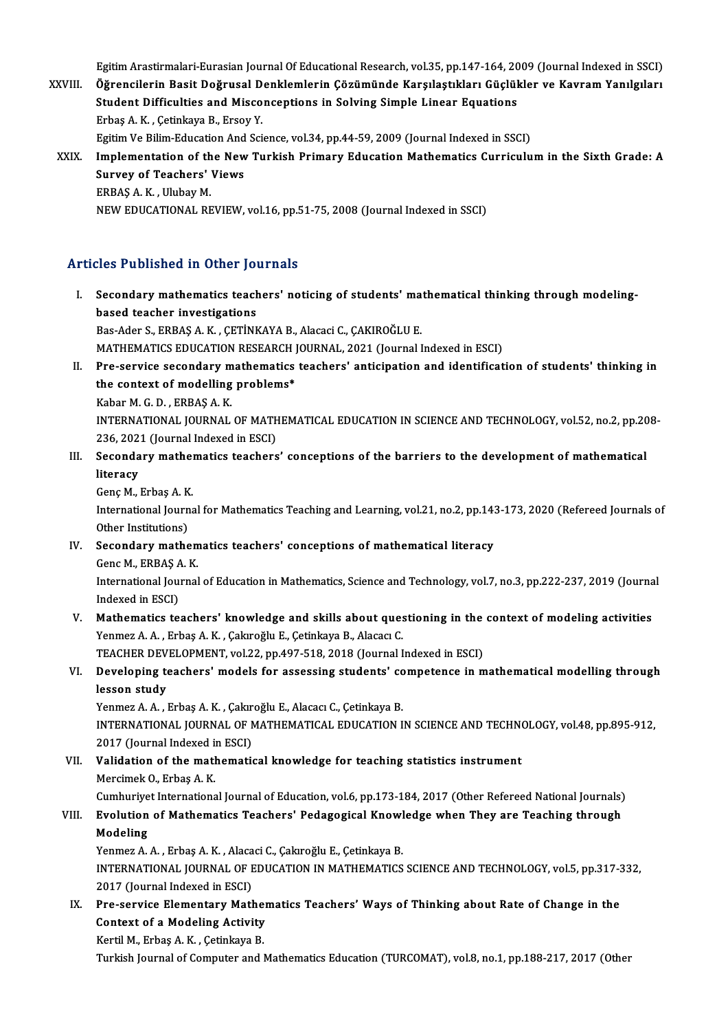Egitim Arastirmalari-Eurasian Journal Of Educational Research, vol.35, pp.147-164, 2009 (Journal Indexed in SSCI)<br>الجماعة المسابق المسلمين المسلمين المسلمين المسلمين المسلمين المسلمين المسلمين المسلمين المسلمين المسلمين ا

- Egitim Arastirmalari-Eurasian Journal Of Educational Research, vol.35, pp.147-164, 2009 (Journal Indexed in SSCI)<br>XXVIII. Öğrencilerin Basit Doğrusal Denklemlerin Çözümünde Karşılaştıkları Güçlükler ve Kavram Yanılgıla Egitim Arastirmalari-Eurasian Journal Of Educational Research, vol.35, pp.147-164, 20<br>Öğrencilerin Basit Doğrusal Denklemlerin Çözümünde Karşılaştıkları Güçlül<br>Student Difficulties and Misconceptions in Solving Simple Line Öğrencilerin Basit Doğrusal Denklemlerin Çözümünde Karşılaştıkları Güçlükler ve Kavram Yanılgıları<br>Student Difficulties and Misconceptions in Solving Simple Linear Equations<br>Erbaş A.K., Çetinkaya B., Ersoy Y. Student Difficulties and Misconceptions in Solving Simple Linear Equations<br>Erbaş A. K. , Çetinkaya B., Ersoy Y.<br>Egitim Ve Bilim-Education And Science, vol.34, pp.44-59, 2009 (Journal Indexed in SSCI)<br>Implementation of the XXIX. Implementation of the New Turkish Primary Education Mathematics Curriculum in the Sixth Grade: A
	- Egitim Ve Bilim-Education And<br>Implementation of the New<br>Survey of Teachers' Views<br>EPPAS A. K., Hlubay M Survey of Teachers' Views<br>ERBAŞ A.K., Ulubay M. NEW EDUCATIONAL REVIEW, vol.16, pp.51-75, 2008 (Journal Indexed in SSCI)

### Articles Published in Other Journals

- I. Secondary mathematics teachers' noticing of students' mathematical thinking through modeling-<br>I. Secondary mathematics teachers' noticing of students' mathematical thinking through modelingbased teacher in Street Jess<br>Based teacher investigations<br>Based teacher investigations Secondary mathematics teachers' noticing of students' ma<br>based teacher investigations<br>Bas-Ader S., ERBAŞ A. K. , ÇETİNKAYA B., Alacaci C., ÇAKIROĞLU E.<br>MATUEMATICS EDUCATION RESEARCU JOURNAL, 2021 (Journal I based teacher investigations<br>Bas-Ader S., ERBAŞ A. K. , ÇETİNKAYA B., Alacaci C., ÇAKIROĞLU E.<br>MATHEMATICS EDUCATION RESEARCH JOURNAL, 2021 (Journal Indexed in ESCI)<br>Pre servise sesenderu methematise teachers' entisination Bas-Ader S., ERBAŞ A. K. , ÇETİNKAYA B., Alacaci C., ÇAKIROĞLU E.<br>MATHEMATICS EDUCATION RESEARCH JOURNAL, 2021 (Journal Indexed in ESCI)<br>II. Pre-service secondary mathematics teachers' anticipation and identification of st
- MATHEMATICS EDUCATION RESEARCH J<br>Pre-service secondary mathematics<br>the context of modelling problems\* **Pre-service secondary m<br>the context of modelling<br>Kabar M. G. D. , ERBAŞ A. K.<br>INTERNATIONAL JOURNAL** the context of modelling problems\*<br>Kabar M. G. D. , ERBAŞ A. K.<br>INTERNATIONAL JOURNAL OF MATHEMATICAL EDUCATION IN SCIENCE AND TECHNOLOGY, vol.52, no.2, pp.208-<br>226, 2021 (Journal Indoved in ESC) Kabar M. G. D. , ERBAŞ A. K.<br>INTERNATIONAL JOURNAL OF MATH<br>236, 2021 (Journal Indexed in ESCI)<br>Secondary, mathematics teachers INTERNATIONAL JOURNAL OF MATHEMATICAL EDUCATION IN SCIENCE AND TECHNOLOGY, vol.52, no.2, pp.20<br>236, 2021 (Journal Indexed in ESCI)<br>III. Secondary mathematics teachers' conceptions of the barriers to the development of math
- 236, 202<br>Seconda<br>literacy Secondary mather<br>literacy<br>Genç M., Erbaş A. K.<br>International Iourne
	- Genç M., Erbaş A.K.

Iiteracy<br>Genç M., Erbaş A. K.<br>International Journal for Mathematics Teaching and Learning, vol.21, no.2, pp.143-173, 2020 (Refereed Journals of<br>Other Institutions) International Journal for Mathematics Teaching and Learning, vol.21, no.2, pp.143<br>Other Institutions)<br>IV. Secondary mathematics teachers' conceptions of mathematical literacy<br>Cone M, EPPAS A, V

Other Institutions)<br>Secondary mathem<br>Genc M., ERBAŞ A. K.<br>International Journal

Secondary mathematics teachers' conceptions of mathematical literacy<br>Genc M., ERBAŞ A. K.<br>International Journal of Education in Mathematics, Science and Technology, vol.7, no.3, pp.222-237, 2019 (Journal<br>Indeved in ESCI) Genc M., ERBAŞ A<br>International Jou:<br>Indexed in ESCI)<br>Mathematics to International Journal of Education in Mathematics, Science and Technology, vol.7, no.3, pp.222-237, 2019 (Journa<br>Indexed in ESCI)<br>V. Mathematics teachers' knowledge and skills about questioning in the context of modeling a

Indexed in ESCI)<br>Mathematics teachers' knowledge and skills about ques<br>Yenmez A. A. , Erbaş A. K. , Çakıroğlu E., Çetinkaya B., Alacacı C.<br>TEACHER DEVELOPMENT vel 33. np 497.518.2018 (Journal I Mathematics teachers' knowledge and skills about questioning in the<br>Yenmez A. A. , Erbaş A. K. , Çakıroğlu E., Çetinkaya B., Alacacı C.<br>TEACHER DEVELOPMENT, vol.22, pp.497-518, 2018 (Journal Indexed in ESCI)<br>Developing tea

## Yenmez A. A. , Erbaş A. K. , Çakıroğlu E., Çetinkaya B., Alacacı C.<br>TEACHER DEVELOPMENT, vol.22, pp.497-518, 2018 (Journal Indexed in ESCI)<br>VI. Developing teachers' models for assessing students' competence in mathemat TEACHER DEVELOPMENT, vol.22, pp.497-518, 2018 (Journal Indexed in ESCI)<br>Developing teachers' models for assessing students' competence in n<br>lesson study<br>Yenmez A. A., Erbaş A. K., Çakıroğlu E., Alacacı C., Çetinkaya B. Developing teachers' models for assessing students' co<br>lesson study<br>Yenmez A. A. , Erbaş A. K. , Çakıroğlu E., Alacacı C., Çetinkaya B.<br>INTERNATIONAL JOURNAL OF MATUEMATICAL EDUCATION L

INTERNATIONAL JOURNAL OF MATHEMATICAL EDUCATION IN SCIENCE AND TECHNOLOGY, vol.48, pp.895-912, Yenmez A. A. , Erbaş A. K. , Çakır<br>INTERNATIONAL JOURNAL OF N<br>2017 (Journal Indexed in ESCI)<br>Validation of the mathemati

VII. Validation of the mathematical knowledge for teaching statistics instrument<br>Mercimek O., Erbas A. K. 2017 (Journal Indexed in<br>**Validation of the math**<br>Mercimek O., Erbaş A. K.<br>Cumburiyat Internations Validation of the mathematical knowledge for teaching statistics instrument<br>Mercimek O., Erbaș A. K.<br>Cumhuriyet International Journal of Education, vol.6, pp.173-184, 2017 (Other Refereed National Journals)<br>Fyolytion of Ma

## Mercimek O., Erbaş A. K.<br>Cumhuriyet International Journal of Education, vol.6, pp.173-184, 2017 (Other Refereed National Journals)<br>VIII. Evolution of Mathematics Teachers' Pedagogical Knowledge when They are Teaching t Cumhuriye<br>**Evolution<br>Modeling**<br>Venmez A Evolution of Mathematics Teachers' Pedagogical Knowl<br>Modeling<br>Yenmez A. A. , Erbaş A. K. , Alacaci C., Çakıroğlu E., Çetinkaya B.<br>INTERNATIONAL JOURNAL OF EDUCATION IN MATHEMATICS

Modeling<br>Yenmez A. A. , Erbaş A. K. , Alacaci C., Çakıroğlu E., Çetinkaya B.<br>INTERNATIONAL JOURNAL OF EDUCATION IN MATHEMATICS SCIENCE AND TECHNOLOGY, vol.5, pp.317-332,<br>2017 (Journal Indexed in ESCI) Yenmez A. A. , Erbaş A. K. , Alaca<br>INTERNATIONAL JOURNAL OF E<br>2017 (Journal Indexed in ESCI)<br>Pre-servise Elementery Meth INTERNATIONAL JOURNAL OF EDUCATION IN MATHEMATICS SCIENCE AND TECHNOLOGY, vol.5, pp.317-3<br>2017 (Journal Indexed in ESCI)<br>IX. Pre-service Elementary Mathematics Teachers' Ways of Thinking about Rate of Change in the<br>Content

2017 (Journal Indexed in ESCI)<br>Pre-service Elementary Mather<br>Context of a Modeling Activity<br>Kortil M. Erbes A. K., Cetinkaya B. Pre-service Elementary Mathe<br>Context of a Modeling Activity<br>Kertil M., Erbaş A.K. , Çetinkaya B.<br>Turkish Journal of Computer and l Context of a Modeling Activity<br>Kertil M., Erbaş A. K. , Çetinkaya B.<br>Turkish Journal of Computer and Mathematics Education (TURCOMAT), vol.8, no.1, pp.188-217, 2017 (Other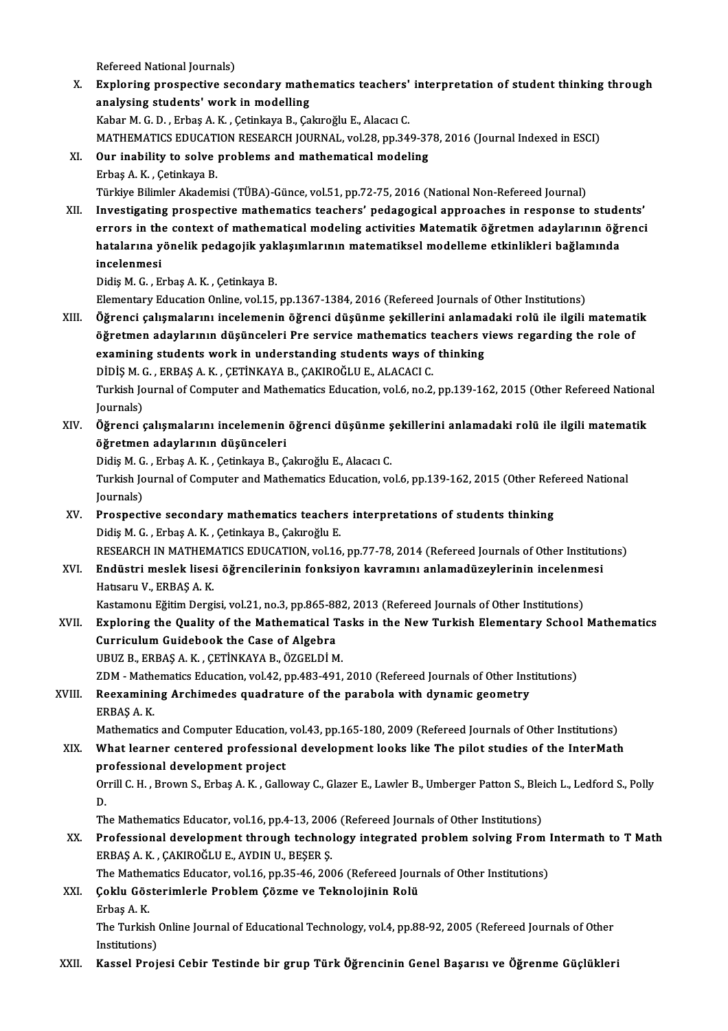Refereed National Journals)

Refereed National Journals)<br>X. Exploring prospective secondary mathematics teachers' interpretation of student thinking through<br>Analysing students' work in modelling Refereed National Journals)<br>Exploring prospective secondary math<br>analysing students' work in modelling<br>Kahan M.C.D., Erbas A.K., Cetinkaya B.Ca analysing students' work in modelling<br>Kabar M. G. D. , Erbaş A. K. , Çetinkaya B., Çakıroğlu E., Alacacı C. analysing students' work in modelling<br>Kabar M. G. D. , Erbaş A. K. , Çetinkaya B., Çakıroğlu E., Alacacı C.<br>MATHEMATICS EDUCATION RESEARCH JOURNAL, vol.28, pp.349-378, 2016 (Journal Indexed in ESCI)<br>Qur inability to solve XI. Our inability to solve problems and mathematical modeling<br>Erbaş A.K., Çetinkaya B. MATHEMATICS EDUCATI<br>**Our inability to solve**<br>Erbaş A. K. , Çetinkaya B.<br>Türkiye Bilimler Akadem Türkiye Bilimler Akademisi (TÜBA)-Günce, vol.51, pp.72-75, 2016 (National Non-Refereed Journal) XII. Investigating prospective mathematics teachers' pedagogical approaches in response to students' errors in the context of mathematical modeling activities Matematik öğretmen adaylarının öğrenci Investigating prospective mathematics teachers' pedagogical approaches in response to stude<br>errors in the context of mathematical modeling activities Matematik öğretmen adaylarının öğr<br>hatalarına yönelik pedagojik yaklaşım errors in the<br>hatalarına y<br>incelenmesi<br>Didio M.C. E hatalarına yönelik pedagojik yak<br>incelenmesi<br>Didiş M. G. , Erbaş A. K. , Çetinkaya B.<br>Elementary Edusation Online vel 15 incelenmesi<br>Didiş M. G. , Erbaş A. K. , Çetinkaya B.<br>Elementary Education Online, vol.15, pp.1367-1384, 2016 (Refereed Journals of Other Institutions) Didiş M. G. , Erbaş A. K. , Çetinkaya B.<br>Elementary Education Online, vol.15, pp.1367-1384, 2016 (Refereed Journals of Other Institutions)<br>XIII. Öğrenci çalışmalarını incelemenin öğrenci düşünme şekillerini anlamadaki Elementary Education Online, vol.15, pp.1367-1384, 2016 (Refereed Journals of Other Institutions)<br>Öğrenci çalışmalarını incelemenin öğrenci düşünme şekillerini anlamadaki rolü ile ilgili matemat<br>öğretmen adaylarının düşünc Öğrenci çalışmalarını incelemenin öğrenci düşünme şekillerini anlama<br>öğretmen adaylarının düşünceleri Pre service mathematics teachers v<br>examining students work in understanding students ways of thinking<br>Dinis M.C., EPRAS öğretmen adaylarının düşünceleri Pre service mathematics teachers views regarding the role of<br>examining students work in understanding students ways of thinking<br>DİDİS M. G., ERBAS A. K., ÇETİNKAYA B., ÇAKIROĞLU E., ALACACI examining students work in understanding students ways of thinking<br>DİDİŞ M. G. , ERBAŞ A. K. , ÇETİNKAYA B., ÇAKIROĞLU E., ALACACI C.<br>Turkish Journal of Computer and Mathematics Education, vol.6, no.2, pp.139-162, 2015 (Ot DİDİŞ M. (<br>Turkish Jo<br>Journals)<br>Öğrengi Turkish Journal of Computer and Mathematics Education, vol.6, no.2, pp.139-162, 2015 (Other Refereed Nationa<br>Journals)<br>XIV. Öğrenci çalışmalarını incelemenin öğrenci düşünme şekillerini anlamadaki rolü ile ilgili matematik Journals)<br>XIV. Öğrenci çalışmalarını incelemenin öğrenci düşünme şekillerini anlamadaki rolü ile ilgili matematik<br>öğretmen adaylarının düşünceleri Öğrenci çalışmalarını incelemenin öğrenci düşünme ş<br>öğretmen adaylarının düşünceleri<br>Didiş M. G. , Erbaş A. K. , Çetinkaya B., Çakıroğlu E., Alacacı C.<br>Turkich Journal of Computer and Mathematics Edusation ve öğretmen adaylarının düşünceleri<br>Didiş M. G. , Erbaş A. K. , Çetinkaya B., Çakıroğlu E., Alacacı C.<br>Turkish Journal of Computer and Mathematics Education, vol.6, pp.139-162, 2015 (Other Refereed National<br>Journals) Didiş M. G<br>Turkish Jo<br>Journals)<br>Prospect Turkish Journal of Computer and Mathematics Education, vol.6, pp.139-162, 2015 (Other Ref<br>Journals)<br>XV. Prospective secondary mathematics teachers interpretations of students thinking<br>Didie M.C. Erbas A.K. Cetinkaya B. Cek Journals)<br>XV. Prospective secondary mathematics teachers interpretations of students thinking<br>Didiş M. G. , Erbaş A. K. , Çetinkaya B., Çakıroğlu E. RESEARCH IN MATHEMATICS EDUCATION, vol.16, pp.77-78, 2014 (Refereed Journals of Other Institutions) Didiş M. G. , Erbaş A. K. , Çetinkaya B., Çakıroğlu E.<br>RESEARCH IN MATHEMATICS EDUCATION, vol.16, pp.77-78, 2014 (Refereed Journals of Other Instituti<br>XVI. Endüstri meslek lisesi öğrencilerinin fonksiyon kavramını anla RESEARCH IN MATHEM<br><mark>Endüstri meslek lises</mark><br>Hatısaru V., ERBAŞ A. K.<br>Kastamanu Făitim Dargi Endüstri meslek lisesi öğrencilerinin fonksiyon kavramını anlamadüzeylerinin incelenm<br>Hatısaru V., ERBAŞ A. K.<br>Kastamonu Eğitim Dergisi, vol.21, no.3, pp.865-882, 2013 (Refereed Journals of Other Institutions)<br>Evnloring th Hatısaru V., ERBAŞ A. K.<br>Kastamonu Eğitim Dergisi, vol.21, no.3, pp.865-882, 2013 (Refereed Journals of Other Institutions)<br>XVII. Exploring the Quality of the Mathematical Tasks in the New Turkish Elementary School Mathe CurriculumGuidebook the Case of Algebra UBUZB.,ERBAŞA.K. ,ÇETİNKAYAB.,ÖZGELDİM. Curriculum Guidebook the Case of Algebra<br>UBUZ B., ERBAŞ A. K. , ÇETİNKAYA B., ÖZGELDİ M.<br>ZDM - Mathematics Education, vol.42, pp.483-491, 2010 (Refereed Journals of Other Institutions)<br>Resysmining Arshimades suednature of UBUZ B., ERBAŞ A. K. , ÇETİNKAYA B., ÖZGELDİ M.<br>ZDM - Mathematics Education, vol.42, pp.483-491, 2010 (Refereed Journals of Other Instantion)<br>XVIII. Reexamining Archimedes quadrature of the parabola with dynamic geometry ZDM - Mathe<br>Reexaminii<br>ERBAŞ A. K.<br>Mathematics Reexamining Archimedes quadrature of the parabola with dynamic geometry<br>ERBAŞ A. K.<br>Mathematics and Computer Education, vol.43, pp.165-180, 2009 (Refereed Journals of Other Institutions)<br>What learner contered professional ERBAŞ A. K.<br>Mathematics and Computer Education, vol.43, pp.165-180, 2009 (Refereed Journals of Other Institutions)<br>XIX. What learner centered professional development looks like The pilot studies of the InterMath<br>nrofessio Mathematics and Computer Education,<br>What learner centered profession<br>professional development project<br>Orrill C. H., Proum S., Erbes A. K., Collo What learner centered professional development looks like The pilot studies of the InterMath<br>professional development project<br>Orrill C. H. , Brown S., Erbaş A. K. , Galloway C., Glazer E., Lawler B., Umberger Patton S., Bl pr<br>Or<br>D. Orrill C. H. , Brown S., Erbaş A. K. , Galloway C., Glazer E., Lawler B., Umberger Patton S., Blei<br>D.<br>The Mathematics Educator, vol.16, pp.4-13, 2006 (Refereed Journals of Other Institutions)<br>Professional development throu D.<br>The Mathematics Educator, vol.16, pp.4-13, 2006 (Refereed Journals of Other Institutions)<br>XX. Professional development through technology integrated problem solving From Intermath to T Math<br>FRRAS A.K. CAKIROČLUE, AV The Mathematics Educator, vol.16, pp.4-13, 2006<br>Professional development through technol<br>ERBAŞ A. K. , ÇAKIROĞLU E., AYDIN U., BEŞER Ş.<br>The Mathematics Educator, vol.16, pp.35, 46, 200 Professional development through technology integrated problem solving From 1<br>ERBAŞ A. K. , ÇAKIROĞLU E., AYDIN U., BEŞER Ş.<br>The Mathematics Educator, vol.16, pp.35-46, 2006 (Refereed Journals of Other Institutions)<br>Cokly ERBAŞ A. K. , ÇAKIROĞLU E., AYDIN U., BEŞER Ş.<br>The Mathematics Educator, vol.16, pp.35-46, 2006 (Refereed Jour<br>XXI. Goklu Gösterimlerle Problem Çözme ve Teknolojinin Rolü<br>Erbas A. K. The Mathematics Educator, vol.16, pp.35-46, 2006 (Refereed Journals of Other Institutions) Çoklu Gösterimlerle Problem Çözme ve Teknolojinin Rolü<br>Erbaş A. K.<br>The Turkish Online Journal of Educational Technology, vol.4, pp.88-92, 2005 (Refereed Journals of Other<br>Institutione) Erbaş A. K.<br>The Turkish<br>Institutions)<br>Kaasel Brei XXI . Kassel Projesi Cebir Testinde bir grup Türk Öğrencinin Genel Başarısı ve Öğrenme Güçlükleri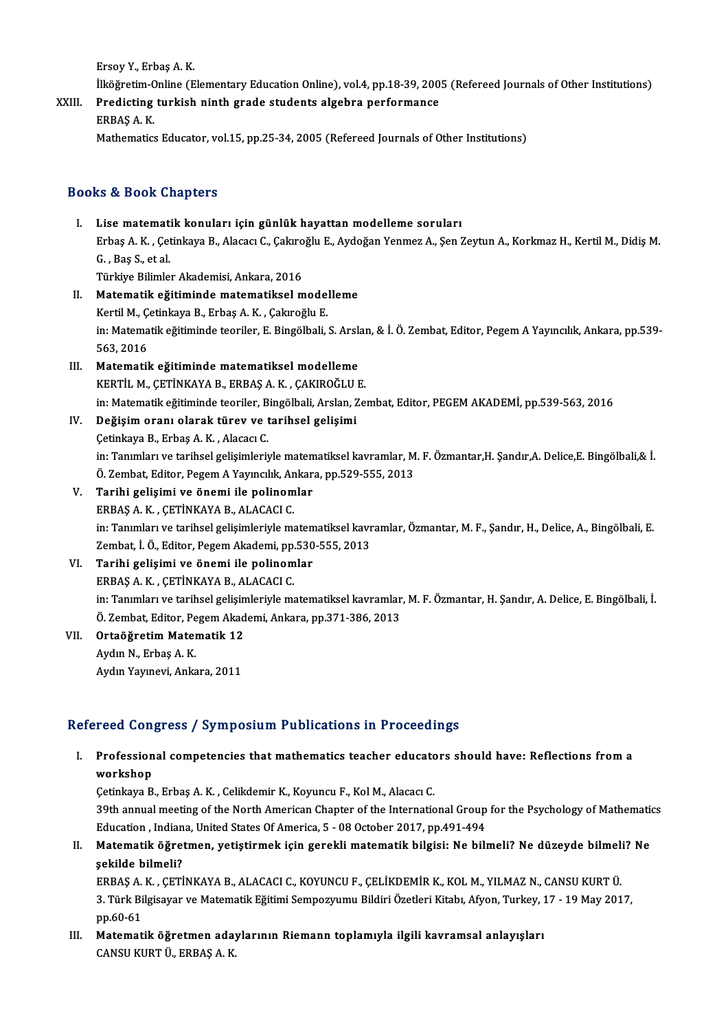ErsoyY.,ErbaşA.K.

- Ersoy Y., Erbaş A. K.<br>İlköğretim-Online (Elementary Education Online), vol.4, pp.18-39, 2005 (Refereed Journals of Other Institutions)<br>Predisting turkish ninth grade students algebra nerformanse
- Ersoy Y., Erbaş A. K.<br>İlköğretim-Online (Elementary Education Online), vol.4, pp.18-39, 200<br>XXIII. Predicting turkish ninth grade students algebra performance<br>FRRAS A. K. İlköğretim-C<br>Predicting<br>ERBAŞ A. K.<br>Mathematise Predicting turkish ninth grade students algebra performance<br>ERBAŞ A. K.<br>Mathematics Educator, vol.15, pp.25-34, 2005 (Refereed Journals of Other Institutions)

### Books&Book Chapters

- I. Lise matematik konuları için günlük hayattan modelleme soruları Er & Boon Ghapeers<br>Lise matematik konuları için günlük hayattan modelleme soruları<br>Erbaş A. K. , Çetinkaya B., Alacacı C., Çakıroğlu E., Aydoğan Yenmez A., Şen Zeytun A., Korkmaz H., Kertil M., Didiş M. G. , Baş S., et al.<br>Türkiye Bilimler Akademisi, Ankara, 2016 Erbaş A. K. , Çetinkaya B., Alacacı C., Çakıro<br>G. , Baş S., et al.<br>Türkiye Bilimler Akademisi, Ankara, 2016<br>Matamatik, eğitiminde matamatiksel G. , Baş S., et al.<br>Türkiye Bilimler Akademisi, Ankara, 2016<br>II. Matematik eğitiminde matematiksel modelleme
- Türkiye Bilimler Akademisi, Ankara, 2016<br>Matematik eğitiminde matematiksel model<br>Kertil M., Çetinkaya B., Erbaş A. K. , Çakıroğlu E.<br>in: Matematik eğitiminde teoriler E. Bingölbeli Matematik eğitiminde matematiksel modelleme<br>Kertil M., Çetinkaya B., Erbaş A. K. , Çakıroğlu E.<br>in: Matematik eğitiminde teoriler, E. Bingölbali, S. Arslan, & İ. Ö. Zembat, Editor, Pegem A Yayıncılık, Ankara, pp.539-<br>563-2 Kertil M., Çom<br>in: Matema<br>563, 2016<br>Matematil in: Matematik eğitiminde teoriler, E. Bingölbali, S. Arsl:<br>563, 2016<br>III. Matematik eğitiminde matematiksel modelleme
- 563, 2016<br>Matematik eğitiminde matematiksel modelleme<br>KERTİL M., ÇETİNKAYA B., ERBAŞ A. K. , ÇAKIROĞLU E.<br>in: Matematik eğitiminde teoriler. Bingölbeli, Arelen, Ze Matematik eğitiminde matematiksel modelleme<br>KERTİL M., ÇETİNKAYA B., ERBAŞ A. K. , ÇAKIROĞLU E.<br>in: Matematik eğitiminde teoriler, Bingölbali, Arslan, Zembat, Editor, PEGEM AKADEMİ, pp.539-563, 2016<br>Doğisim oranı elarak tü KERTİL M., ÇETİNKAYA B., ERBAŞ A. K. , ÇAKIROĞLU E.<br>in: Matematik eğitiminde teoriler, Bingölbali, Arslan, Ze.<br>IV. **Değişim oranı olarak türev ve tarihsel gelişimi**<br>Cetinkaya B., Erbaş A. K. , Alacacı C.
- 

in: Matematik eğitiminde teoriler, B<br>Değişim oranı olarak türev ve t<br>Çetinkaya B., Erbaş A.K. , Alacacı C. in: Tanımları ve tarihsel gelişimleriyle matematiksel kavramlar, M. F. Özmantar,H. Şandır,A. Delice,E. Bingölbali,& İ. Ö. Zembat, Editor, Pegem A Yayıncılık, Ankara, pp.529-555, 2013

- V. Tarihi gelişimi ve önemi ile polinomlar ERBAŞA.K. ,ÇETİNKAYAB.,ALACACIC. Tarihi gelişimi ve önemi ile polinomlar<br>ERBAŞ A. K. , ÇETİNKAYA B., ALACACI C.<br>in: Tanımları ve tarihsel gelişimleriyle matematiksel kavramlar, Özmantar, M. F., Şandır, H., Delice, A., Bingölbali, E.<br>Zambat, İ.Ö., Editar, ERBAŞ A. K. , ÇETİNKAYA B., ALACACI C.<br>in: Tanımları ve tarihsel gelişimleriyle matematiksel kavr<br>Zembat, İ. Ö., Editor, Pegem Akademi, pp.530-555, 2013<br>Tarihi gelişimi ve önemi ile pelinemler in: Tanımları ve tarihsel gelişimleriyle matem<br>Zembat, İ. Ö., Editor, Pegem Akademi, pp.530<br>VI. Tarihi gelişimi ve önemi ile polinomlar<br>EPPAS A K. CETİNKAYA B. ALAÇAÇLC
- Zembat, İ. Ö., Editor, Pegem Akademi, pp.530-555, 2013<br>VI. Tarihi gelişimi ve önemi ile polinomlar<br>ERBAŞ A. K. , ÇETİNKAYA B., ALACACI C. Tarihi gelişimi ve önemi ile polinomlar<br>ERBAŞ A. K. , ÇETİNKAYA B., ALACACI C.<br>in: Tanımları ve tarihsel gelişimleriyle matematiksel kavramlar, M. F. Özmantar, H. Şandır, A. Delice, E. Bingölbali, İ.<br>Ö. Zambat, Editar, Raz ERBAŞ A. K. , ÇETİNKAYA B., ALACACI C.<br>in: Tanımları ve tarihsel gelişimleriyle matematiksel kavramlar<br>Ö. Zembat, Editor, Pegem Akademi, Ankara, pp.371-386, 2013<br>Ortaöğratim Matematik 13 in: Tanımları ve tarihsel gelişin<br>Ö. Zembat, Editor, Pegem Akad<br>VII. **Ortaöğretim Matematik 12**
- Ö. Zembat, Editor, Pegem Akademi, Ankara, pp.371-386, 2013<br>Ortaöğretim Matematik 12<br>Aydın N., Erbaş A. K.<br>Aydın Yayınevi, Ankara, 2011 **Ortaöğretim Matematik 12**<br>Aydın N., Erbaş A. K.<br>Aydın Yayınevi, Ankara, 2011

### Refereed Congress / Symposium Publications in Proceedings

efereed Congress / Symposium Publications in Proceedings<br>I. Professional competencies that mathematics teacher educators should have: Reflections from a<br>workshop Profession<br>Workshop<br>Cotinkaya B Professional competencies that mathematics teacher educato<br>workshop<br>Cetinkaya B., Erbaş A. K. , Celikdemir K., Koyuncu F., Kol M., Alacacı C.<br>20th annual meeting of the North American Chapter of the Internatio

workshop<br>Çetinkaya B., Erbaş A. K. , Celikdemir K., Koyuncu F., Kol M., Alacacı C.<br>39th annual meeting of the North American Chapter of the International Group for the Psychology of Mathematics<br>Education, Indiana United St Cetinkaya B., Erbaş A. K. , Celikdemir K., Koyuncu F., Kol M., Alacacı C.<br>39th annual meeting of the North American Chapter of the International Group<br>Education , Indiana, United States Of America, 5 - 08 October 2017, pp. 39th annual meeting of the North American Chapter of the International Group for the Psychology of Mathematik<br>Education , Indiana, United States Of America, 5 - 08 October 2017, pp.491-494<br>II. Matematik öğretmen, yetiştirm

Education , Indian<br>Matematik öğret<br>şekilde bilmeli?<br>EPPAS A K. GETİ Matematik öğretmen, yetiştirmek için gerekli matematik bilgisi: Ne bilmeli? Ne düzeyde bilmeli<br>şekilde bilmeli?<br>ERBAŞ A. K. , ÇETİNKAYA B., ALACACI C., KOYUNCU F., ÇELİKDEMİR K., KOL M., YILMAZ N., CANSU KURT Ü.<br>2. Türk Bi

şekilde bilmeli?<br>ERBAŞ A. K. , ÇETİNKAYA B., ALACACI C., KOYUNCU F., ÇELİKDEMİR K., KOL M., YILMAZ N., CANSU KURT Ü.<br>3. Türk Bilgisayar ve Matematik Eğitimi Sempozyumu Bildiri Özetleri Kitabı, Afyon, Turkey, 17 - 19 May 20 ERBAŞ A.<br>3. Türk Bi<br>pp.60-61<br>Matamat 3. Türk Bilgisayar ve Matematik Eğitimi Sempozyumu Bildiri Özetleri Kitabı, Afyon, Turkey, 1<br>pp.60-61<br>III. Matematik öğretmen adaylarının Riemann toplamıyla ilgili kavramsal anlayışları<br>CANSU KUPT Ü. EPPAS A.K

pp.60-61<br>Matematik öğretmen ada<sub>.</sub><br>CANSU KURT Ü., ERBAŞ A. K.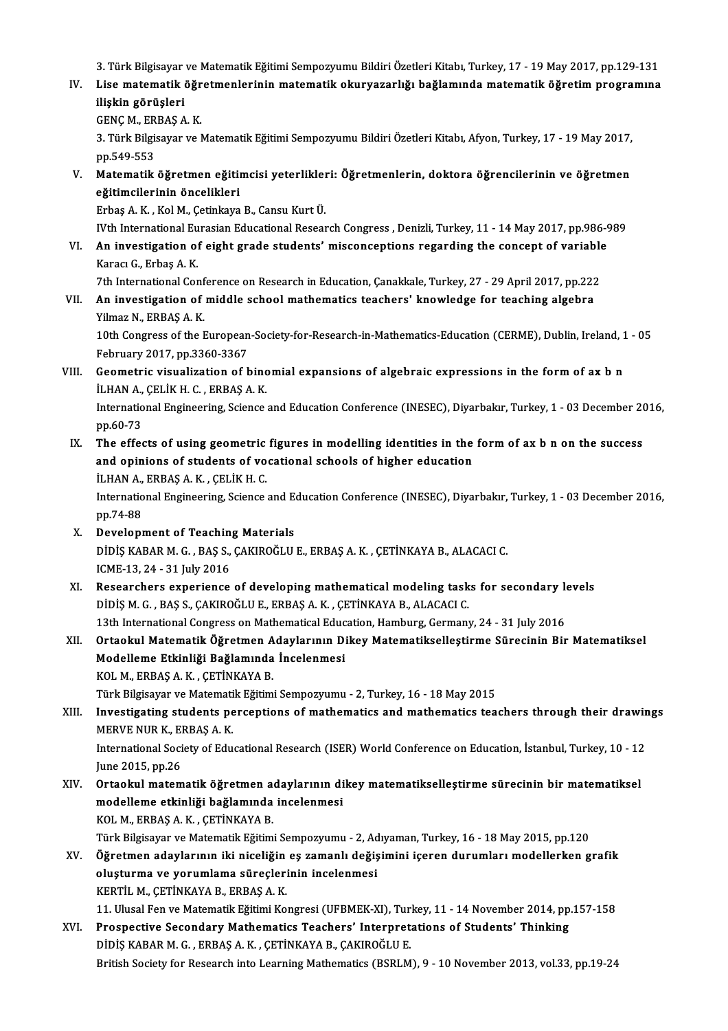3. Türk Bilgisayar ve Matematik Eğitimi Sempozyumu Bildiri Özetleri Kitabı, Turkey, 17 - 19 May 2017, pp.129-131<br>Lise matematik öğretmenlerinin matematik ekuryararlığı beğlemunda matematik öğretim nrogramına

3. Türk Bilgisayar ve Matematik Eğitimi Sempozyumu Bildiri Özetleri Kitabı, Turkey, 17 - 19 May 2017, pp.129-131<br>IV. Lise matematik öğretmenlerinin matematik okuryazarlığı bağlamında matematik öğretim programına<br>iliski 3. Türk Bilgisayar<br>Lise matematik (<br>ilişkin görüşleri<br>GENG M. ERRAS A Lise matematik öğr<br>ilişkin görüşleri<br>GENÇ M., ERBAŞ A. K.<br>2. Türk Bilgisayar ve b

GENC M, ERBAS A.K.

ilişkin görüşleri<br>GENÇ M., ERBAŞ A. K.<br>3. Türk Bilgisayar ve Matematik Eğitimi Sempozyumu Bildiri Özetleri Kitabı, Afyon, Turkey, 17 - 19 May 2017,<br>pp.549-553 3. Türk Bilgisayar ve Matematik Eğitimi Sempozyumu Bildiri Özetleri Kitabı, Afyon, Turkey, 17 - 19 May 2017,<br>pp.549-553<br>V. Matematik öğretmen eğitimcisi yeterlikleri: Öğretmenlerin, doktora öğrencilerinin ve öğretmen<br>oğiti

pp.549-553<br>Matematik öğretmen eğitim<br>eğitimcilerinin öncelikleri<br>Erbes A.K., Kol M. Cetinkaya Matematik öğretmen eğitimcisi yeterlikleı<br>eğitimcilerinin öncelikleri<br>Erbaş A. K. , Kol M., Çetinkaya B., Cansu Kurt Ü.<br>With International Eurosian Educational Besser <mark>eğitimcilerinin öncelikleri</mark><br>Erbaş A. K. , Kol M., Çetinkaya B., Cansu Kurt Ü.<br>IVth International Eurasian Educational Research Congress , Denizli, Turkey, 11 - 14 May 2017, pp.986-989<br>An investigation of eight grade stud

Erbaş A. K. , Kol M., Çetinkaya B., Cansu Kurt Ü.<br>IVth International Eurasian Educational Research Congress , Denizli, Turkey, 11 - 14 May 2017, pp.986-9<br>VI. An investigation of eight grade students' misconceptions regardi IVth International Eu<br>An investigation of<br>Karacı G., Erbaş A. K.<br>7th International Cor The International Conference on Research in Education, Canakkale, Turkey, 27 - 29 April 2017, pp.222<br>The International Conference on Research in Education, Çanakkale, Turkey, 27 - 29 April 2017, pp.222<br>An investigation of

Karacı G., Erbaş A. K.<br>7th International Conference on Research in Education, Çanakkale, Turkey, 27 - 29 April 2017, pp.222<br>7. VII. An investigation of middle school mathematics teachers' knowledge for teaching algebra 7th International Conf<br>**An investigation of**<br>Yilmaz N., ERBAŞ A.K.<br>10th Congrees of the L An investigation of middle school mathematics teachers' knowledge for teaching algebra<br>Yilmaz N., ERBAŞ A. K.<br>10th Congress of the European-Society-for-Research-in-Mathematics-Education (CERME), Dublin, Ireland, 1 - 05<br>Esh

Yilmaz N., ERBAŞ A. K.<br>10th Congress of the European<br>February 2017, pp.3360-3367<br>Coometrie vieualization of t 10th Congress of the European-Society-for-Research-in-Mathematics-Education (CERME), Dublin, Ireland, 1<br>February 2017, pp.3360-3367<br>VIII. Geometric visualization of binomial expansions of algebraic expressions in the form

February 2017, pp.3360-3367<br>Geometric visualization of binc<br>İLHAN A., ÇELİK H. C. , ERBAŞ A. K.<br>International Engineering Science Geometric visualization of binomial expansions of algebraic expressions in the form of ax b n<br>İLHAN A., ÇELİK H. C. , ERBAŞ A. K.<br>International Engineering, Science and Education Conference (INESEC), Diyarbakır, Turkey, 1

iLHAN A., ÇELİK H. C., ERBAŞ A. K.<br>International Engineering, Science and Education Conference (INESEC), Diyarbakır, Turkey, 1 - 03 December 20<br>pp.60-73<br>The effects of using geometric figures in modelling identities in the International Engineering, Science and Education Conference (INESEC), Diyarbakır, Turkey, 1 - 03 December 20<br>pp.60-73<br>IX. The effects of using geometric figures in modelling identities in the form of ax b n on the success

pp.60-73<br>The effects of using geometric figures in modelling identities in the<br>and opinions of students of vocational schools of higher education<br>iLHAN A, EPRAS A, K, CELİKH C The effects of using geometric<br>and opinions of students of vo<br>İLHAN A., ERBAŞ A.K. , ÇELİK H. C.<br>International Engineering Science ILHAN A., ERBAŞ A. K., ÇELİK H. C.

International Engineering, Science and Education Conference (INESEC), Diyarbakır, Turkey, 1 - 03 December 2016,<br>pp.74-88

- X. Development of Teaching Materials pp.74-88<br>Development of Teaching Materials<br>DİDİŞ KABAR M. G. , BAŞ S., ÇAKIROĞLU E., ERBAŞ A. K. , ÇETİNKAYA B., ALACACI C.<br>ICME 12.24., 21 July 2016 Development of Teachin<br>DiDiŞ KABAR M. G. , BAŞ S.,<br>ICME-13, 24 - 31 July 2016<br>Beseersbers experiense DIDIŞ KABAR M. G., BAŞ S., ÇAKIROĞLU E., ERBAŞ A. K., ÇETİNKAYA B., ALACACI C.<br>ICME-13, 24 - 31 July 2016<br>XI. Researchers experience of developing mathematical modeling tasks for secondary levels<br>DIDISM G. BAS S. GAKIROĞLU
- ICME-13, 24 31 July 2016<br>Researchers experience of developing mathematical modeling task<br>DİDİŞ M. G. , BAŞ S., ÇAKIROĞLU E., ERBAŞ A. K. , ÇETİNKAYA B., ALACACI C.<br>12th International Congress en Mathematical Education He Researchers experience of developing mathematical modeling tasks for secondary le<br>DİDİŞ M. G., BAŞ S., ÇAKIROĞLU E., ERBAŞ A. K., ÇETİNKAYA B., ALACACI C.<br>13th International Congress on Mathematical Education, Hamburg, Ger
- DİDİŞ M. G. , BAŞ S., ÇAKIROĞLU E., ERBAŞ A. K. , ÇETİNKAYA B., ALACACI C.<br>13th International Congress on Mathematical Education, Hamburg, Germany, 24 31 July 2016<br>XII. Ortaokul Matematik Öğretmen Adaylarının Dikey M 13th International Congress on Mathematical Educ<br>Ortaokul Matematik Öğretmen Adaylarının Di<br>Modelleme Etkinliği Bağlamında İncelenmesi<br>KOL M. ERRAS A.K., CETİNKAYA R KOLM.,ERBAŞA.K. ,ÇETİNKAYAB. KOL M., ERBAŞ A. K. , ÇETİNKAYA B.<br>Türk Bilgisayar ve Matematik Eğitimi Sempozyumu - 2, Turkey, 16 - 18 May 2015<br>XIII. Investigating students perceptions of mathematics and mathematics teachers through their drawings<br>MERVE

Türk Bilgisayar ve Matematik Eğitimi Sempozyumu - 2, Turkey, 16 - 18 May 2015

Türk Bilgisayar ve Matemati<br>Investigating students pe<br>MERVE NUR K., ERBAŞ A. K.<br>International Society of Edu Investigating students perceptions of mathematics and mathematics teachers through their drawin<br>MERVE NUR K., ERBAŞ A. K.<br>International Society of Educational Research (ISER) World Conference on Education, İstanbul, Turkey

MERVE NUR K., El<br>International Soci<br>June 2015, pp.26<br>Ortackul matem International Society of Educational Research (ISER) World Conference on Education, İstanbul, Turkey, 10 - 12<br>June 2015, pp.26<br>XIV. Ortaokul matematik öğretmen adaylarının dikey matematikselleştirme sürecinin bir matematik

June 2015, pp.26<br>Ortaokul matematik öğretmen adaylarının di<br>modelleme etkinliği bağlamında incelenmesi<br>KOL M. ERRAS A.K. CETİNKAYA R Ortaokul matematik öğretmen a<br>modelleme etkinliği bağlamında<br>KOL M., ERBAŞ A. K. , ÇETİNKAYA B.<br>Türk Bilgicayar ve Matematik Eğitim modelleme etkinliği bağlamında incelenmesi<br>KOL M., ERBAŞ A. K. , ÇETİNKAYA B.<br>Türk Bilgisayar ve Matematik Eğitimi Sempozyumu - 2, Adıyaman, Turkey, 16 - 18 May 2015, pp.120<br>Öğretmen edevlerinin iki piseliğin es zemenli de KOL M., ERBAŞ A. K. , ÇETİNKAYA B.<br>Türk Bilgisayar ve Matematik Eğitimi Sempozyumu - 2, Adıyaman, Turkey, 16 - 18 May 2015, pp.120<br>XV. Öğretmen adaylarının iki niceliğin eş zamanlı değişimini içeren durumları modellerk

Türk Bilgisayar ve Matematik Eğitimi Sempozyumu - 2, Ad<br>Öğretmen adaylarının iki niceliğin eş zamanlı değiş<br>oluşturma ve yorumlama süreçlerinin incelenmesi<br>KERTİL M. CETİNKAYA B. ERRAS A. K

Öğretmen adaylarının iki niceliğin<br>oluşturma ve yorumlama süreçleri<br>KERTİL M., ÇETİNKAYA B., ERBAŞ A. K.<br>11 Ulucel Fen ve Metemetik Fğitimi Ke

oluşturma ve yorumlama süreçlerinin incelenmesi<br>KERTİL M., ÇETİNKAYA B., ERBAŞ A. K.<br>11. Ulusal Fen ve Matematik Eğitimi Kongresi (UFBMEK-XI), Turkey, 11 - 14 November 2014, pp.157-158<br>Prespestive Sesendery Mathematise Tea

KERTİL M., ÇETİNKAYA B., ERBAŞ A. K.<br>11. Ulusal Fen ve Matematik Eğitimi Kongresi (UFBMEK-XI), Turkey, 11 - 14 November 2014, pp<br>XVI. Prospective Secondary Mathematics Teachers' Interpretations of Students' Thinking<br>pinis 11. Ulusal Fen ve Matematik Eğitimi Kongresi (UFBMEK-XI), Tur.<br>Prospective Secondary Mathematics Teachers' Interpret.<br>DİDİŞ KABAR M. G. , ERBAŞ A. K. , ÇETİNKAYA B., ÇAKIROĞLU E.<br>Pritish Sesisty fan Pessansh inte Learning Prospective Secondary Mathematics Teachers' Interpretations of Students' Thinking<br>DiDi\$ KABAR M. G. , ERBA\$ A. K. , ÇETİNKAYA B., ÇAKIROĞLU E.<br>British Society for Research into Learning Mathematics (BSRLM), 9 - 10 November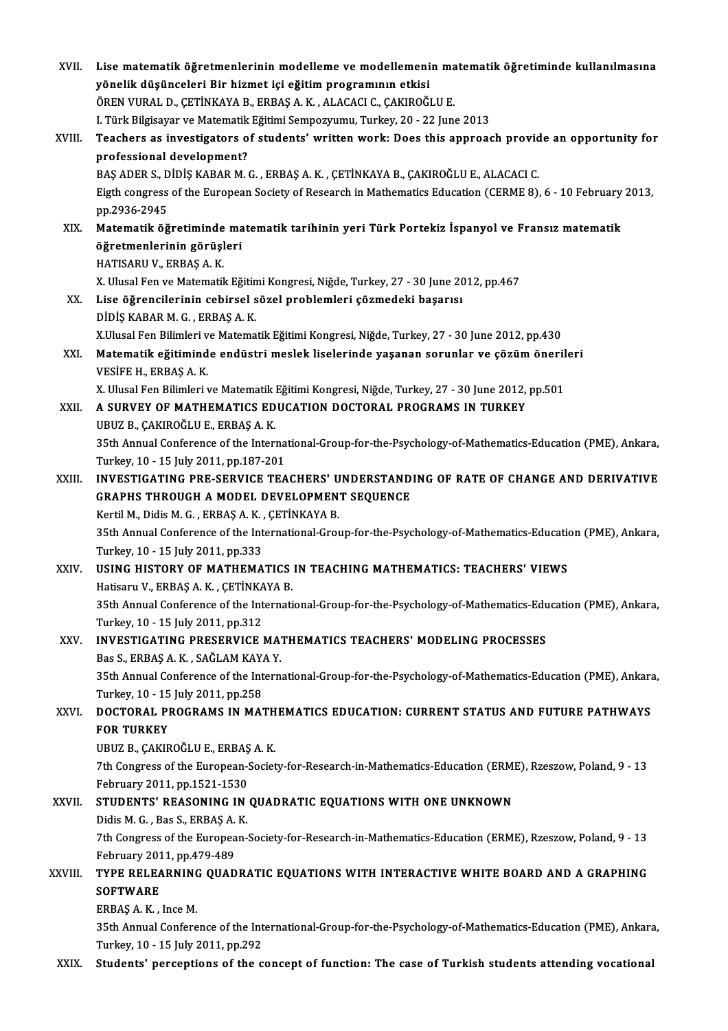| XVII.   | Lise matematik öğretmenlerinin modelleme ve modellemenin matematik öğretiminde kullanılmasına                |
|---------|--------------------------------------------------------------------------------------------------------------|
|         | yönelik düşünceleri Bir hizmet içi eğitim programının etkisi                                                 |
|         | ÖREN VURAL D., ÇETİNKAYA B., ERBAŞ A. K., ALACACI C., ÇAKIROĞLU E.                                           |
|         | I. Türk Bilgisayar ve Matematik Eğitimi Sempozyumu, Turkey, 20 - 22 June 2013                                |
| XVIII.  | Teachers as investigators of students' written work: Does this approach provide an opportunity for           |
|         | professional development?                                                                                    |
|         | BAŞ ADER S., DİDİŞ KABAR M. G., ERBAŞ A. K., ÇETİNKAYA B., ÇAKIROĞLU E., ALACACI C.                          |
|         | Eigth congress of the European Society of Research in Mathematics Education (CERME 8), 6 - 10 February 2013, |
|         | pp 2936-2945                                                                                                 |
| XIX.    | Matematik öğretiminde matematik tarihinin yeri Türk Portekiz İspanyol ve Fransız matematik                   |
|         | öğretmenlerinin görüşleri                                                                                    |
|         | HATISARU V., ERBAŞ A.K.                                                                                      |
|         | X. Ulusal Fen ve Matematik Eğitimi Kongresi, Niğde, Turkey, 27 - 30 June 2012, pp.467                        |
| XX.     | Lise öğrencilerinin cebirsel sözel problemleri çözmedeki başarısı                                            |
|         | DIDIŞ KABAR M. G., ERBAŞ A. K.                                                                               |
|         | X.Ulusal Fen Bilimleri ve Matematik Eğitimi Kongresi, Niğde, Turkey, 27 - 30 June 2012, pp.430               |
| XXI.    | Matematik eğitiminde endüstri meslek liselerinde yaşanan sorunlar ve çözüm önerileri                         |
|         | VESIFE H., ERBAŞ A.K.                                                                                        |
|         | X. Ulusal Fen Bilimleri ve Matematik Eğitimi Kongresi, Niğde, Turkey, 27 - 30 June 2012, pp.501              |
| XXII.   | A SURVEY OF MATHEMATICS EDUCATION DOCTORAL PROGRAMS IN TURKEY                                                |
|         | UBUZ B., ÇAKIROĞLU E., ERBAŞ A.K.                                                                            |
|         | 35th Annual Conference of the International-Group-for-the-Psychology-of-Mathematics-Education (PME), Ankara, |
|         | Turkey, 10 - 15 July 2011, pp.187-201                                                                        |
| XXIII.  | INVESTIGATING PRE-SERVICE TEACHERS' UNDERSTANDING OF RATE OF CHANGE AND DERIVATIVE                           |
|         | GRAPHS THROUGH A MODEL DEVELOPMENT SEQUENCE                                                                  |
|         | Kertil M., Didis M. G., ERBAȘ A. K., ÇETİNKAYA B.                                                            |
|         | 35th Annual Conference of the International-Group-for-the-Psychology-of-Mathematics-Education (PME), Ankara, |
|         | Turkey, 10 - 15 July 2011, pp 333                                                                            |
| XXIV.   | USING HISTORY OF MATHEMATICS IN TEACHING MATHEMATICS: TEACHERS' VIEWS                                        |
|         | Hatisaru V., ERBAŞ A. K., ÇETİNKAYA B.                                                                       |
|         | 35th Annual Conference of the International-Group-for-the-Psychology-of-Mathematics-Education (PME), Ankara, |
|         | Turkey, 10 - 15 July 2011, pp 312                                                                            |
| XXV.    | INVESTIGATING PRESERVICE MATHEMATICS TEACHERS' MODELING PROCESSES<br>Bas S., ERBAŞ A. K., SAĞLAM KAYA Y.     |
|         | 35th Annual Conference of the International-Group-for-the-Psychology-of-Mathematics-Education (PME), Ankara, |
|         | Turkey, 10 - 15 July 2011, pp.258                                                                            |
| XXVI.   | DOCTORAL PROGRAMS IN MATHEMATICS EDUCATION: CURRENT STATUS AND FUTURE PATHWAYS                               |
|         | <b>FOR TURKEY</b>                                                                                            |
|         | UBUZ B., ÇAKIROĞLU E., ERBAŞ A. K.                                                                           |
|         | 7th Congress of the European-Society-for-Research-in-Mathematics-Education (ERME), Rzeszow, Poland, 9 - 13   |
|         | February 2011, pp 1521-1530                                                                                  |
| XXVII.  | STUDENTS' REASONING IN QUADRATIC EQUATIONS WITH ONE UNKNOWN                                                  |
|         | Didis M G , Bas S , ERBAS A K                                                                                |
|         | 7th Congress of the European-Society-for-Research-in-Mathematics-Education (ERME), Rzeszow, Poland, 9 - 13   |
|         | February 2011, pp 479-489                                                                                    |
| XXVIII. | TYPE RELEARNING QUADRATIC EQUATIONS WITH INTERACTIVE WHITE BOARD AND A GRAPHING                              |
|         | <b>SOFTWARE</b>                                                                                              |
|         | ERBAŞ A K, Ince M.                                                                                           |
|         | 35th Annual Conference of the International-Group-for-the-Psychology-of-Mathematics-Education (PME), Ankara, |
|         | Turkey, 10 - 15 July 2011, pp.292                                                                            |
| XXIX.   | Students' perceptions of the concept of function: The case of Turkish students attending vocational          |
|         |                                                                                                              |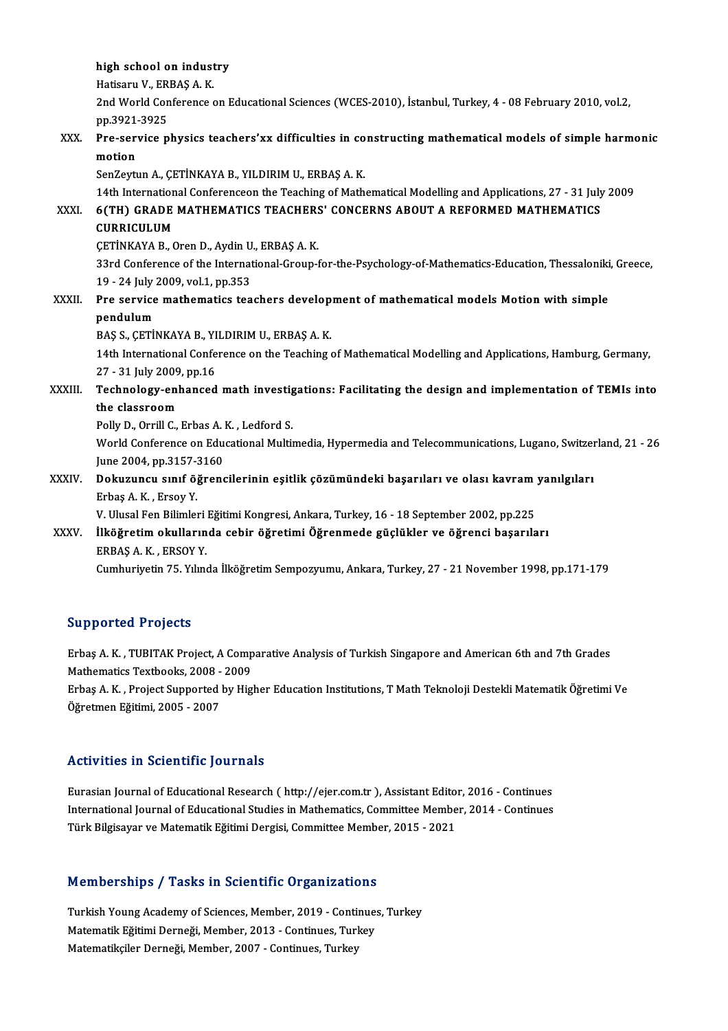|             | high school on industry                                                                                                                                                               |
|-------------|---------------------------------------------------------------------------------------------------------------------------------------------------------------------------------------|
|             | Hatisaru V., ERBAŞ A.K.                                                                                                                                                               |
|             | 2nd World Conference on Educational Sciences (WCES-2010), İstanbul, Turkey, 4 - 08 February 2010, vol.2,                                                                              |
|             | pp 3921-3925                                                                                                                                                                          |
| XXX.        | Pre-service physics teachers'xx difficulties in constructing mathematical models of simple harmonic<br>motion                                                                         |
|             | SenZeytun A., ÇETİNKAYA B., YILDIRIM U., ERBAŞ A. K.                                                                                                                                  |
| XXXI.       | 14th International Conferenceon the Teaching of Mathematical Modelling and Applications, 27 - 31 July 2009<br>6(TH) GRADE MATHEMATICS TEACHERS' CONCERNS ABOUT A REFORMED MATHEMATICS |
|             | <b>CURRICULUM</b>                                                                                                                                                                     |
|             | ÇETİNKAYA B., Oren D., Aydin U., ERBAŞ A. K.                                                                                                                                          |
|             | 33rd Conference of the International-Group-for-the-Psychology-of-Mathematics-Education, Thessaloniki, Greece,                                                                         |
|             | 19 - 24 July 2009, vol 1, pp 353                                                                                                                                                      |
| XXXII.      | Pre service mathematics teachers development of mathematical models Motion with simple                                                                                                |
|             | pendulum                                                                                                                                                                              |
|             | BAŞ S., ÇETİNKAYA B., YILDIRIM U., ERBAŞ A. K.                                                                                                                                        |
|             | 14th International Conference on the Teaching of Mathematical Modelling and Applications, Hamburg, Germany,<br>27 - 31 July 2009, pp 16                                               |
| XXXIII.     | Technology-enhanced math investigations: Facilitating the design and implementation of TEMIs into                                                                                     |
|             | the classroom                                                                                                                                                                         |
|             | Polly D., Orrill C., Erbas A. K., Ledford S.                                                                                                                                          |
|             | World Conference on Educational Multimedia, Hypermedia and Telecommunications, Lugano, Switzerland, 21 - 26                                                                           |
|             | June 2004, pp.3157-3160                                                                                                                                                               |
| XXXIV.      | Dokuzuncu sınıf öğrencilerinin eşitlik çözümündeki başarıları ve olası kavram yanılgıları                                                                                             |
|             | Erbas A K, Ersoy Y                                                                                                                                                                    |
|             | V. Ulusal Fen Bilimleri Eğitimi Kongresi, Ankara, Turkey, 16 - 18 September 2002, pp.225                                                                                              |
| <b>XXXV</b> | İlköğretim okullarında cebir öğretimi Öğrenmede güçlükler ve öğrenci başarıları                                                                                                       |
|             | ERBAŞ A K, ERSOY Y                                                                                                                                                                    |
|             | Cumhuriyetin 75. Yılında İlköğretim Sempozyumu, Ankara, Turkey, 27 - 21 November 1998, pp.171-179                                                                                     |

## Supported Projects

Erbaş A.K., TUBITAK Project, A Comparative Analysis of Turkish Singapore and American 6th and 7th Grades Erbaş A. K. , TUBITAK Project, A Comp<br>Mathematics Textbooks, 2008 - 2009<br>Erbas A. K. , Project Supported by Hig

Erbaş A. K. , Project Supported by Higher Education Institutions, T Math Teknoloji Destekli Matematik Öğretimi Ve<br>Öğretmen Eğitimi, 2005 - 2007 Mathematics Textbooks, 2008 -<br>Erbaş A. K. , Project Supported |<br>Öğretmen Eğitimi, 2005 - 2007

### Activities in Scientific Journals

Eurasian Journal of Educational Research ( http://ejer.com.tr ), Assistant Editor, 2016 - Continues Intervational International Australia<br>International Journal of Educational Research ( http://ejer.com.tr ), Assistant Editor, 2016 - Continues<br>International Journal of Educational Studies in Mathematics, Committee Member, Eurasian Journal of Educational Research ( http://ejer.com.tr ), Assistant Edito:<br>International Journal of Educational Studies in Mathematics, Committee Membe<br>Türk Bilgisayar ve Matematik Eğitimi Dergisi, Committee Member, Türk Bilgisayar ve Matematik Eğitimi Dergisi, Committee Member, 2015 - 2021<br>Memberships / Tasks in Scientific Organizations

Turkish Young Academy of Sciences, Member, 2019 - Continues, Turkey Matematik Eğitimi Derneği, Member, 2019 - Continues, Matematik Eğitimi Derneği, Member, 2013 - Continues, Turkey,<br>Matematik Eğitimi Derneği, Member, 2013 - Continues, Turkey,<br>Matematikejler, Derneği, Member, 2007, Continue Turkish Young Academy of Sciences, Member, 2019 - Conti<br>Matematik Eğitimi Derneği, Member, 2013 - Continues, Turl<br>Matematikçiler Derneği, Member, 2007 - Continues, Turkey